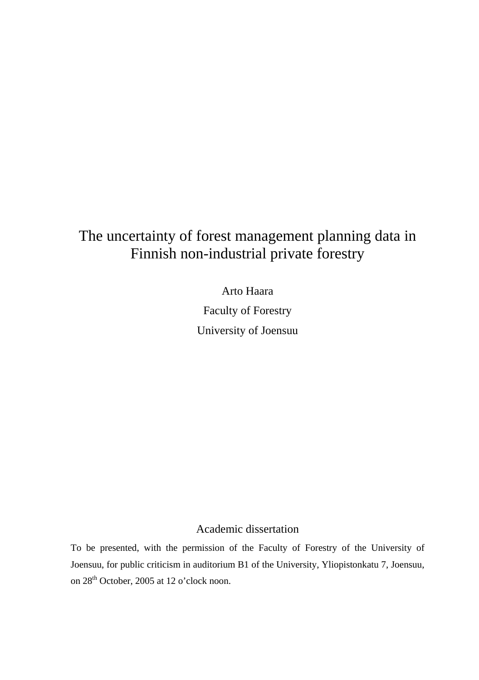# The uncertainty of forest management planning data in Finnish non-industrial private forestry

Arto Haara

Faculty of Forestry University of Joensuu

## Academic dissertation

To be presented, with the permission of the Faculty of Forestry of the University of Joensuu, for public criticism in auditorium B1 of the University, Yliopistonkatu 7, Joensuu, on 28<sup>th</sup> October, 2005 at 12 o'clock noon.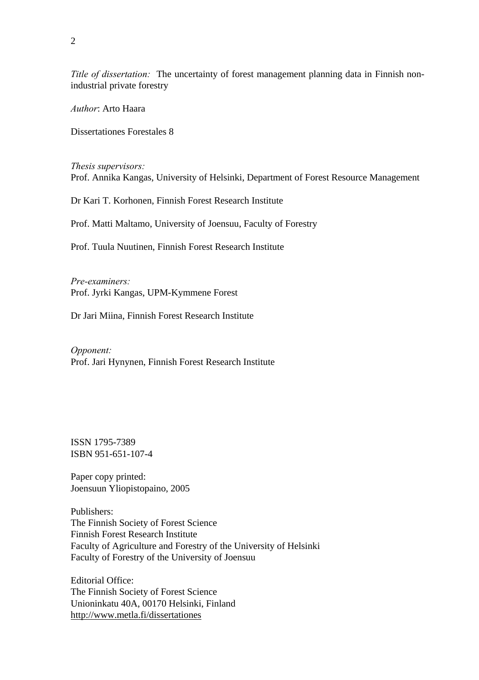*Title of dissertation:* The uncertainty of forest management planning data in Finnish nonindustrial private forestry

*Author*: Arto Haara

Dissertationes Forestales 8

*Thesis supervisors:*  Prof. Annika Kangas, University of Helsinki, Department of Forest Resource Management

Dr Kari T. Korhonen, Finnish Forest Research Institute

Prof. Matti Maltamo, University of Joensuu, Faculty of Forestry

Prof. Tuula Nuutinen, Finnish Forest Research Institute

*Pre-examiners:*  Prof. Jyrki Kangas, UPM-Kymmene Forest

Dr Jari Miina, Finnish Forest Research Institute

*Opponent:*  Prof. Jari Hynynen, Finnish Forest Research Institute

ISSN 1795-7389 ISBN 951-651-107-4

Paper copy printed: Joensuun Yliopistopaino, 2005

Publishers: The Finnish Society of Forest Science Finnish Forest Research Institute Faculty of Agriculture and Forestry of the University of Helsinki Faculty of Forestry of the University of Joensuu

Editorial Office: The Finnish Society of Forest Science Unioninkatu 40A, 00170 Helsinki, Finland http://www.metla.fi/dissertationes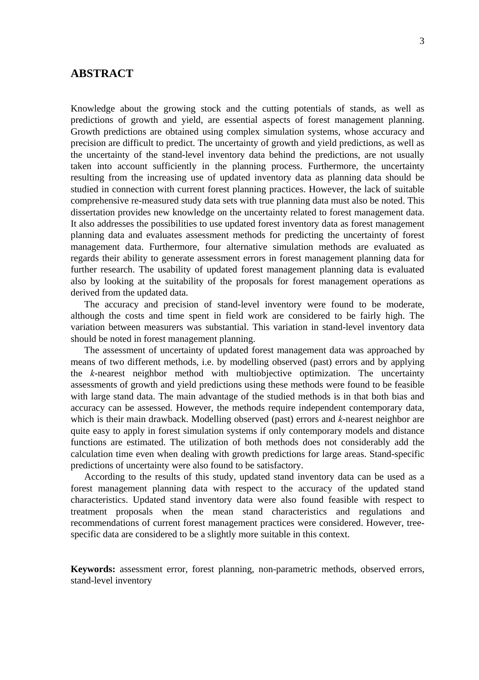### **ABSTRACT**

Knowledge about the growing stock and the cutting potentials of stands, as well as predictions of growth and yield, are essential aspects of forest management planning. Growth predictions are obtained using complex simulation systems, whose accuracy and precision are difficult to predict. The uncertainty of growth and yield predictions, as well as the uncertainty of the stand-level inventory data behind the predictions, are not usually taken into account sufficiently in the planning process. Furthermore, the uncertainty resulting from the increasing use of updated inventory data as planning data should be studied in connection with current forest planning practices. However, the lack of suitable comprehensive re-measured study data sets with true planning data must also be noted. This dissertation provides new knowledge on the uncertainty related to forest management data. It also addresses the possibilities to use updated forest inventory data as forest management planning data and evaluates assessment methods for predicting the uncertainty of forest management data. Furthermore, four alternative simulation methods are evaluated as regards their ability to generate assessment errors in forest management planning data for further research. The usability of updated forest management planning data is evaluated also by looking at the suitability of the proposals for forest management operations as derived from the updated data.

The accuracy and precision of stand-level inventory were found to be moderate, although the costs and time spent in field work are considered to be fairly high. The variation between measurers was substantial. This variation in stand-level inventory data should be noted in forest management planning.

The assessment of uncertainty of updated forest management data was approached by means of two different methods, i.e. by modelling observed (past) errors and by applying the *k*-nearest neighbor method with multiobjective optimization. The uncertainty assessments of growth and yield predictions using these methods were found to be feasible with large stand data. The main advantage of the studied methods is in that both bias and accuracy can be assessed. However, the methods require independent contemporary data, which is their main drawback. Modelling observed (past) errors and *k*-nearest neighbor are quite easy to apply in forest simulation systems if only contemporary models and distance functions are estimated. The utilization of both methods does not considerably add the calculation time even when dealing with growth predictions for large areas. Stand-specific predictions of uncertainty were also found to be satisfactory.

According to the results of this study, updated stand inventory data can be used as a forest management planning data with respect to the accuracy of the updated stand characteristics. Updated stand inventory data were also found feasible with respect to treatment proposals when the mean stand characteristics and regulations and recommendations of current forest management practices were considered. However, treespecific data are considered to be a slightly more suitable in this context.

**Keywords:** assessment error, forest planning, non-parametric methods, observed errors, stand-level inventory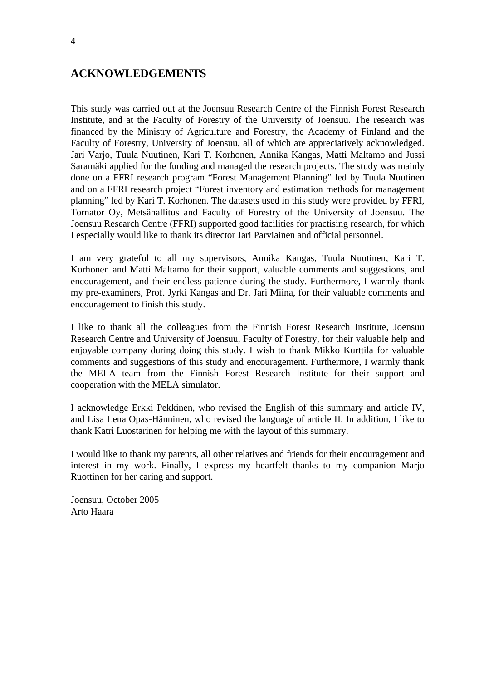## **ACKNOWLEDGEMENTS**

This study was carried out at the Joensuu Research Centre of the Finnish Forest Research Institute, and at the Faculty of Forestry of the University of Joensuu. The research was financed by the Ministry of Agriculture and Forestry, the Academy of Finland and the Faculty of Forestry, University of Joensuu, all of which are appreciatively acknowledged. Jari Varjo, Tuula Nuutinen, Kari T. Korhonen, Annika Kangas, Matti Maltamo and Jussi Saramäki applied for the funding and managed the research projects. The study was mainly done on a FFRI research program "Forest Management Planning" led by Tuula Nuutinen and on a FFRI research project "Forest inventory and estimation methods for management planning" led by Kari T. Korhonen. The datasets used in this study were provided by FFRI, Tornator Oy, Metsähallitus and Faculty of Forestry of the University of Joensuu. The Joensuu Research Centre (FFRI) supported good facilities for practising research, for which I especially would like to thank its director Jari Parviainen and official personnel.

I am very grateful to all my supervisors, Annika Kangas, Tuula Nuutinen, Kari T. Korhonen and Matti Maltamo for their support, valuable comments and suggestions, and encouragement, and their endless patience during the study. Furthermore, I warmly thank my pre-examiners, Prof. Jyrki Kangas and Dr. Jari Miina, for their valuable comments and encouragement to finish this study.

I like to thank all the colleagues from the Finnish Forest Research Institute, Joensuu Research Centre and University of Joensuu, Faculty of Forestry, for their valuable help and enjoyable company during doing this study. I wish to thank Mikko Kurttila for valuable comments and suggestions of this study and encouragement. Furthermore, I warmly thank the MELA team from the Finnish Forest Research Institute for their support and cooperation with the MELA simulator.

I acknowledge Erkki Pekkinen, who revised the English of this summary and article IV, and Lisa Lena Opas-Hänninen, who revised the language of article II. In addition, I like to thank Katri Luostarinen for helping me with the layout of this summary.

I would like to thank my parents, all other relatives and friends for their encouragement and interest in my work. Finally, I express my heartfelt thanks to my companion Marjo Ruottinen for her caring and support.

Joensuu, October 2005 Arto Haara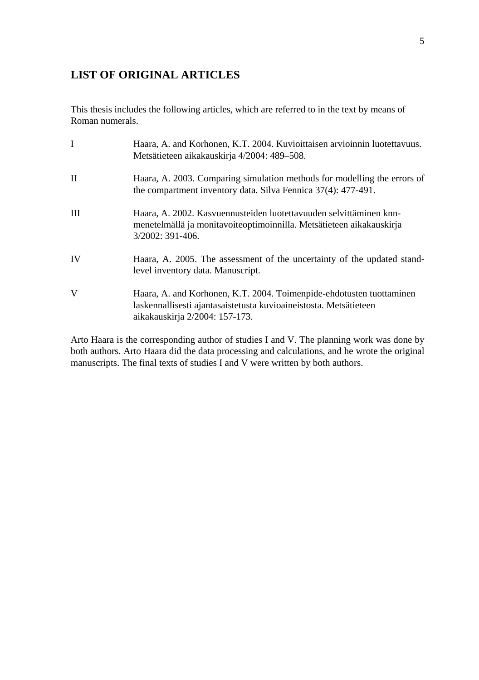## **LIST OF ORIGINAL ARTICLES**

This thesis includes the following articles, which are referred to in the text by means of Roman numerals.

|    | Haara, A. and Korhonen, K.T. 2004. Kuvioittaisen arvioinnin luotettavuus.<br>Metsätieteen aikakauskirja 4/2004: 489-508.                                                    |
|----|-----------------------------------------------------------------------------------------------------------------------------------------------------------------------------|
| П  | Haara, A. 2003. Comparing simulation methods for modelling the errors of<br>the compartment inventory data. Silva Fennica 37(4): 477-491.                                   |
| Ш  | Haara, A. 2002. Kasvuennusteiden luotettavuuden selvittäminen knn-<br>menetelmällä ja monitavoiteoptimoinnilla. Metsätieteen aikakauskirja<br>3/2002: 391-406.              |
| IV | Haara, A. 2005. The assessment of the uncertainty of the updated stand-<br>level inventory data. Manuscript.                                                                |
| V  | Haara, A. and Korhonen, K.T. 2004. Toimenpide-ehdotusten tuottaminen<br>laskennallisesti ajantasaistetusta kuvioaineistosta. Metsätieteen<br>aikakauskirja 2/2004: 157-173. |

Arto Haara is the corresponding author of studies I and V. The planning work was done by both authors. Arto Haara did the data processing and calculations, and he wrote the original manuscripts. The final texts of studies I and V were written by both authors.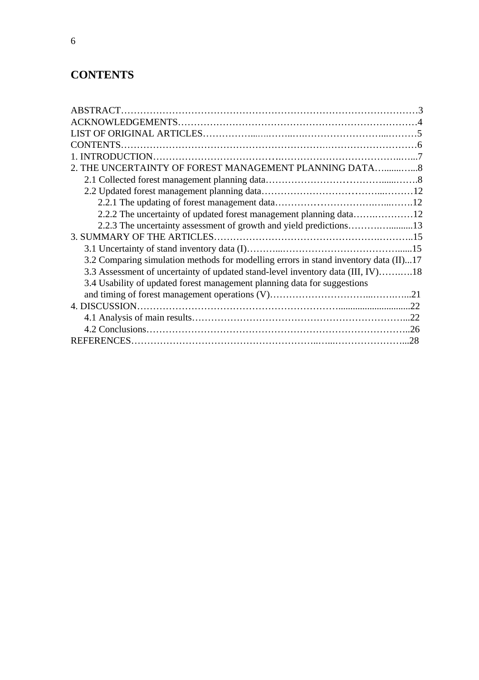## **CONTENTS**

| 2. THE UNCERTAINTY OF FOREST MANAGEMENT PLANNING DATA8                               |  |
|--------------------------------------------------------------------------------------|--|
|                                                                                      |  |
|                                                                                      |  |
|                                                                                      |  |
|                                                                                      |  |
| 2.2.3 The uncertainty assessment of growth and yield predictions13                   |  |
|                                                                                      |  |
|                                                                                      |  |
| 3.2 Comparing simulation methods for modelling errors in stand inventory data (II)17 |  |
| 3.3 Assessment of uncertainty of updated stand-level inventory data (III, IV)18      |  |
| 3.4 Usability of updated forest management planning data for suggestions             |  |
|                                                                                      |  |
|                                                                                      |  |
|                                                                                      |  |
|                                                                                      |  |
|                                                                                      |  |
|                                                                                      |  |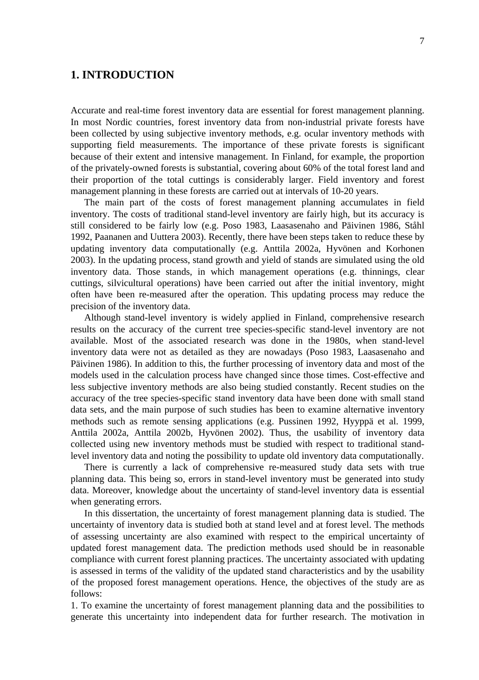## **1. INTRODUCTION**

Accurate and real-time forest inventory data are essential for forest management planning. In most Nordic countries, forest inventory data from non-industrial private forests have been collected by using subjective inventory methods, e.g. ocular inventory methods with supporting field measurements. The importance of these private forests is significant because of their extent and intensive management. In Finland, for example, the proportion of the privately-owned forests is substantial, covering about 60% of the total forest land and their proportion of the total cuttings is considerably larger. Field inventory and forest management planning in these forests are carried out at intervals of 10-20 years.

The main part of the costs of forest management planning accumulates in field inventory. The costs of traditional stand-level inventory are fairly high, but its accuracy is still considered to be fairly low (e.g. Poso 1983, Laasasenaho and Päivinen 1986, Ståhl 1992, Paananen and Uuttera 2003). Recently, there have been steps taken to reduce these by updating inventory data computationally (e.g. Anttila 2002a, Hyvönen and Korhonen 2003). In the updating process, stand growth and yield of stands are simulated using the old inventory data. Those stands, in which management operations (e.g. thinnings, clear cuttings, silvicultural operations) have been carried out after the initial inventory, might often have been re-measured after the operation. This updating process may reduce the precision of the inventory data.

Although stand-level inventory is widely applied in Finland, comprehensive research results on the accuracy of the current tree species-specific stand-level inventory are not available. Most of the associated research was done in the 1980s, when stand-level inventory data were not as detailed as they are nowadays (Poso 1983, Laasasenaho and Päivinen 1986). In addition to this, the further processing of inventory data and most of the models used in the calculation process have changed since those times. Cost-effective and less subjective inventory methods are also being studied constantly. Recent studies on the accuracy of the tree species-specific stand inventory data have been done with small stand data sets, and the main purpose of such studies has been to examine alternative inventory methods such as remote sensing applications (e.g. Pussinen 1992, Hyyppä et al. 1999, Anttila 2002a, Anttila 2002b, Hyvönen 2002). Thus, the usability of inventory data collected using new inventory methods must be studied with respect to traditional standlevel inventory data and noting the possibility to update old inventory data computationally.

There is currently a lack of comprehensive re-measured study data sets with true planning data. This being so, errors in stand-level inventory must be generated into study data. Moreover, knowledge about the uncertainty of stand-level inventory data is essential when generating errors.

In this dissertation, the uncertainty of forest management planning data is studied. The uncertainty of inventory data is studied both at stand level and at forest level. The methods of assessing uncertainty are also examined with respect to the empirical uncertainty of updated forest management data. The prediction methods used should be in reasonable compliance with current forest planning practices. The uncertainty associated with updating is assessed in terms of the validity of the updated stand characteristics and by the usability of the proposed forest management operations. Hence, the objectives of the study are as follows:

1. To examine the uncertainty of forest management planning data and the possibilities to generate this uncertainty into independent data for further research. The motivation in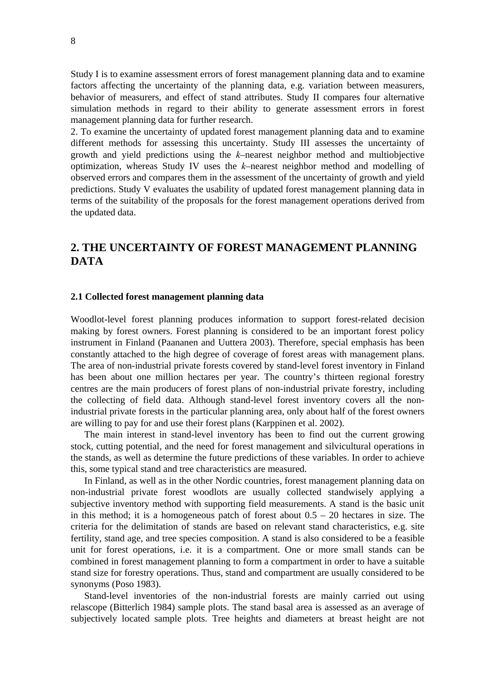Study I is to examine assessment errors of forest management planning data and to examine factors affecting the uncertainty of the planning data, e.g. variation between measurers, behavior of measurers, and effect of stand attributes. Study II compares four alternative simulation methods in regard to their ability to generate assessment errors in forest management planning data for further research.

2. To examine the uncertainty of updated forest management planning data and to examine different methods for assessing this uncertainty. Study III assesses the uncertainty of growth and yield predictions using the *k*–nearest neighbor method and multiobjective optimization, whereas Study IV uses the *k*–nearest neighbor method and modelling of observed errors and compares them in the assessment of the uncertainty of growth and yield predictions. Study V evaluates the usability of updated forest management planning data in terms of the suitability of the proposals for the forest management operations derived from the updated data.

## **2. THE UNCERTAINTY OF FOREST MANAGEMENT PLANNING DATA**

#### **2.1 Collected forest management planning data**

Woodlot-level forest planning produces information to support forest-related decision making by forest owners. Forest planning is considered to be an important forest policy instrument in Finland (Paananen and Uuttera 2003). Therefore, special emphasis has been constantly attached to the high degree of coverage of forest areas with management plans. The area of non-industrial private forests covered by stand-level forest inventory in Finland has been about one million hectares per year. The country's thirteen regional forestry centres are the main producers of forest plans of non-industrial private forestry, including the collecting of field data. Although stand-level forest inventory covers all the nonindustrial private forests in the particular planning area, only about half of the forest owners are willing to pay for and use their forest plans (Karppinen et al. 2002).

The main interest in stand-level inventory has been to find out the current growing stock, cutting potential, and the need for forest management and silvicultural operations in the stands, as well as determine the future predictions of these variables. In order to achieve this, some typical stand and tree characteristics are measured.

In Finland, as well as in the other Nordic countries, forest management planning data on non-industrial private forest woodlots are usually collected standwisely applying a subjective inventory method with supporting field measurements. A stand is the basic unit in this method; it is a homogeneous patch of forest about  $0.5 - 20$  hectares in size. The criteria for the delimitation of stands are based on relevant stand characteristics, e.g. site fertility, stand age, and tree species composition. A stand is also considered to be a feasible unit for forest operations, i.e. it is a compartment. One or more small stands can be combined in forest management planning to form a compartment in order to have a suitable stand size for forestry operations. Thus, stand and compartment are usually considered to be synonyms (Poso 1983).

Stand-level inventories of the non-industrial forests are mainly carried out using relascope (Bitterlich 1984) sample plots. The stand basal area is assessed as an average of subjectively located sample plots. Tree heights and diameters at breast height are not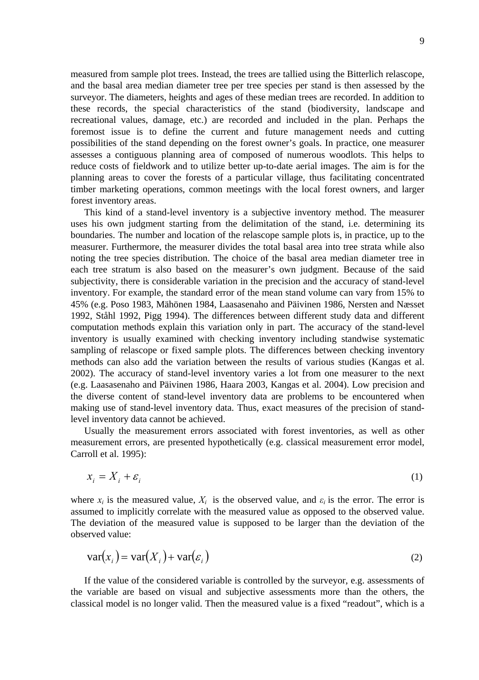measured from sample plot trees. Instead, the trees are tallied using the Bitterlich relascope, and the basal area median diameter tree per tree species per stand is then assessed by the surveyor. The diameters, heights and ages of these median trees are recorded. In addition to these records, the special characteristics of the stand (biodiversity, landscape and recreational values, damage, etc.) are recorded and included in the plan. Perhaps the foremost issue is to define the current and future management needs and cutting possibilities of the stand depending on the forest owner's goals. In practice, one measurer assesses a contiguous planning area of composed of numerous woodlots. This helps to reduce costs of fieldwork and to utilize better up-to-date aerial images. The aim is for the planning areas to cover the forests of a particular village, thus facilitating concentrated timber marketing operations, common meetings with the local forest owners, and larger forest inventory areas.

This kind of a stand-level inventory is a subjective inventory method. The measurer uses his own judgment starting from the delimitation of the stand, i.e. determining its boundaries. The number and location of the relascope sample plots is, in practice, up to the measurer. Furthermore, the measurer divides the total basal area into tree strata while also noting the tree species distribution. The choice of the basal area median diameter tree in each tree stratum is also based on the measurer's own judgment. Because of the said subjectivity, there is considerable variation in the precision and the accuracy of stand-level inventory. For example, the standard error of the mean stand volume can vary from 15% to 45% (e.g. Poso 1983, Mähönen 1984, Laasasenaho and Päivinen 1986, Nersten and Næsset 1992, Ståhl 1992, Pigg 1994). The differences between different study data and different computation methods explain this variation only in part. The accuracy of the stand-level inventory is usually examined with checking inventory including standwise systematic sampling of relascope or fixed sample plots. The differences between checking inventory methods can also add the variation between the results of various studies (Kangas et al. 2002). The accuracy of stand-level inventory varies a lot from one measurer to the next (e.g. Laasasenaho and Päivinen 1986, Haara 2003, Kangas et al. 2004). Low precision and the diverse content of stand-level inventory data are problems to be encountered when making use of stand-level inventory data. Thus, exact measures of the precision of standlevel inventory data cannot be achieved.

Usually the measurement errors associated with forest inventories, as well as other measurement errors, are presented hypothetically (e.g. classical measurement error model, Carroll et al. 1995):

$$
x_i = X_i + \varepsilon_i \tag{1}
$$

where  $x_i$  is the measured value,  $X_i$  is the observed value, and  $\varepsilon_i$  is the error. The error is assumed to implicitly correlate with the measured value as opposed to the observed value. The deviation of the measured value is supposed to be larger than the deviation of the observed value:

$$
var(x_i) = var(X_i) + var(\varepsilon_i)
$$
\n(2)

If the value of the considered variable is controlled by the surveyor, e.g. assessments of the variable are based on visual and subjective assessments more than the others, the classical model is no longer valid. Then the measured value is a fixed "readout", which is a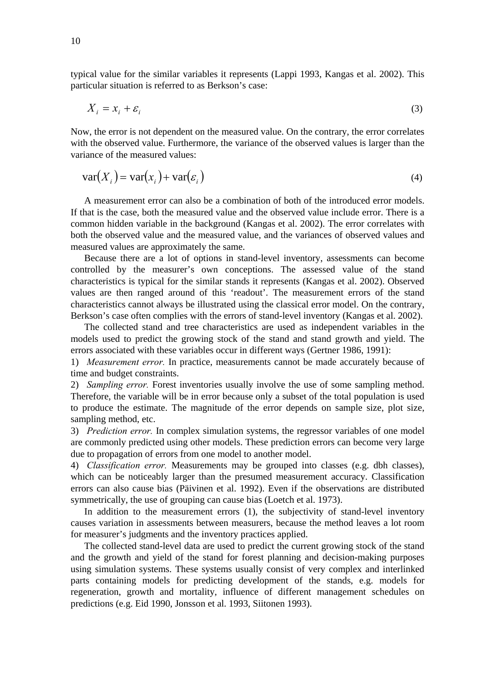typical value for the similar variables it represents (Lappi 1993, Kangas et al. 2002). This particular situation is referred to as Berkson's case:

$$
X_i = x_i + \varepsilon_i \tag{3}
$$

Now, the error is not dependent on the measured value. On the contrary, the error correlates with the observed value. Furthermore, the variance of the observed values is larger than the variance of the measured values:

$$
var(X_i) = var(x_i) + var(\varepsilon_i)
$$
\n(4)

A measurement error can also be a combination of both of the introduced error models. If that is the case, both the measured value and the observed value include error. There is a common hidden variable in the background (Kangas et al. 2002). The error correlates with both the observed value and the measured value, and the variances of observed values and measured values are approximately the same.

Because there are a lot of options in stand-level inventory, assessments can become controlled by the measurer's own conceptions. The assessed value of the stand characteristics is typical for the similar stands it represents (Kangas et al. 2002). Observed values are then ranged around of this 'readout'. The measurement errors of the stand characteristics cannot always be illustrated using the classical error model. On the contrary, Berkson's case often complies with the errors of stand-level inventory (Kangas et al. 2002).

The collected stand and tree characteristics are used as independent variables in the models used to predict the growing stock of the stand and stand growth and yield. The errors associated with these variables occur in different ways (Gertner 1986, 1991):

1) *Measurement error.* In practice, measurements cannot be made accurately because of time and budget constraints.

2) *Sampling error.* Forest inventories usually involve the use of some sampling method. Therefore, the variable will be in error because only a subset of the total population is used to produce the estimate. The magnitude of the error depends on sample size, plot size, sampling method, etc.

3) *Prediction error.* In complex simulation systems, the regressor variables of one model are commonly predicted using other models. These prediction errors can become very large due to propagation of errors from one model to another model.

4) *Classification error.* Measurements may be grouped into classes (e.g. dbh classes), which can be noticeably larger than the presumed measurement accuracy. Classification errors can also cause bias (Päivinen et al. 1992). Even if the observations are distributed symmetrically, the use of grouping can cause bias (Loetch et al. 1973).

In addition to the measurement errors (1), the subjectivity of stand-level inventory causes variation in assessments between measurers, because the method leaves a lot room for measurer's judgments and the inventory practices applied.

The collected stand-level data are used to predict the current growing stock of the stand and the growth and yield of the stand for forest planning and decision-making purposes using simulation systems. These systems usually consist of very complex and interlinked parts containing models for predicting development of the stands, e.g. models for regeneration, growth and mortality, influence of different management schedules on predictions (e.g. Eid 1990, Jonsson et al. 1993, Siitonen 1993).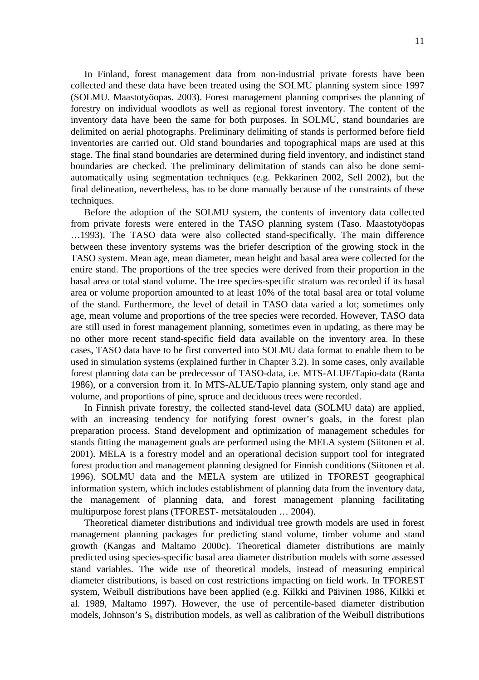In Finland, forest management data from non-industrial private forests have been collected and these data have been treated using the SOLMU planning system since 1997 (SOLMU. Maastotyöopas. 2003). Forest management planning comprises the planning of forestry on individual woodlots as well as regional forest inventory. The content of the inventory data have been the same for both purposes. In SOLMU, stand boundaries are delimited on aerial photographs. Preliminary delimiting of stands is performed before field inventories are carried out. Old stand boundaries and topographical maps are used at this stage. The final stand boundaries are determined during field inventory, and indistinct stand boundaries are checked. The preliminary delimitation of stands can also be done semiautomatically using segmentation techniques (e.g. Pekkarinen 2002, Sell 2002), but the final delineation, nevertheless, has to be done manually because of the constraints of these techniques.

Before the adoption of the SOLMU system, the contents of inventory data collected from private forests were entered in the TASO planning system (Taso. Maastotyöopas …1993). The TASO data were also collected stand-specifically. The main difference between these inventory systems was the briefer description of the growing stock in the TASO system. Mean age, mean diameter, mean height and basal area were collected for the entire stand. The proportions of the tree species were derived from their proportion in the basal area or total stand volume. The tree species-specific stratum was recorded if its basal area or volume proportion amounted to at least 10% of the total basal area or total volume of the stand. Furthermore, the level of detail in TASO data varied a lot; sometimes only age, mean volume and proportions of the tree species were recorded. However, TASO data are still used in forest management planning, sometimes even in updating, as there may be no other more recent stand-specific field data available on the inventory area. In these cases, TASO data have to be first converted into SOLMU data format to enable them to be used in simulation systems (explained further in Chapter 3.2). In some cases, only available forest planning data can be predecessor of TASO-data, i.e. MTS-ALUE/Tapio-data (Ranta 1986), or a conversion from it. In MTS-ALUE/Tapio planning system, only stand age and volume, and proportions of pine, spruce and deciduous trees were recorded.

In Finnish private forestry, the collected stand-level data (SOLMU data) are applied, with an increasing tendency for notifying forest owner's goals, in the forest plan preparation process. Stand development and optimization of management schedules for stands fitting the management goals are performed using the MELA system (Siitonen et al. 2001). MELA is a forestry model and an operational decision support tool for integrated forest production and management planning designed for Finnish conditions (Siitonen et al. 1996). SOLMU data and the MELA system are utilized in TFOREST geographical information system, which includes establishment of planning data from the inventory data, the management of planning data, and forest management planning facilitating multipurpose forest plans (TFOREST- metsätalouden … 2004).

Theoretical diameter distributions and individual tree growth models are used in forest management planning packages for predicting stand volume, timber volume and stand growth (Kangas and Maltamo 2000c). Theoretical diameter distributions are mainly predicted using species-specific basal area diameter distribution models with some assessed stand variables. The wide use of theoretical models, instead of measuring empirical diameter distributions, is based on cost restrictions impacting on field work. In TFOREST system, Weibull distributions have been applied (e.g. Kilkki and Päivinen 1986, Kilkki et al. 1989, Maltamo 1997). However, the use of percentile-based diameter distribution models, Johnson's  $S_b$  distribution models, as well as calibration of the Weibull distributions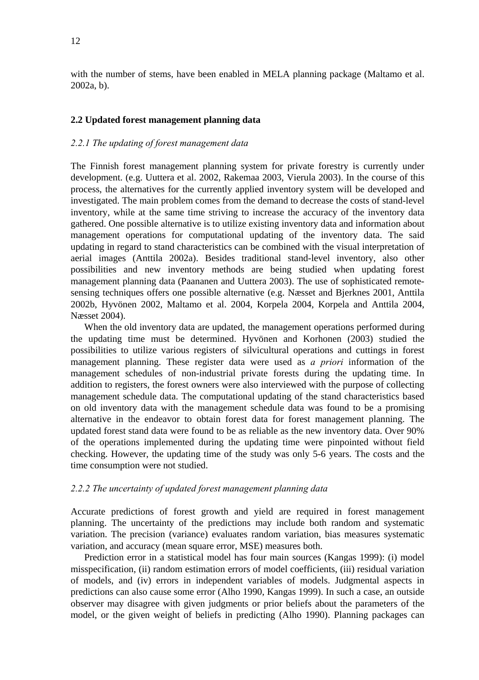with the number of stems, have been enabled in MELA planning package (Maltamo et al. 2002a, b).

#### **2.2 Updated forest management planning data**

### *2.2.1 The updating of forest management data*

The Finnish forest management planning system for private forestry is currently under development. (e.g. Uuttera et al. 2002, Rakemaa 2003, Vierula 2003). In the course of this process, the alternatives for the currently applied inventory system will be developed and investigated. The main problem comes from the demand to decrease the costs of stand-level inventory, while at the same time striving to increase the accuracy of the inventory data gathered. One possible alternative is to utilize existing inventory data and information about management operations for computational updating of the inventory data. The said updating in regard to stand characteristics can be combined with the visual interpretation of aerial images (Anttila 2002a). Besides traditional stand-level inventory, also other possibilities and new inventory methods are being studied when updating forest management planning data (Paananen and Uuttera 2003). The use of sophisticated remotesensing techniques offers one possible alternative (e.g. Næsset and Bjerknes 2001, Anttila 2002b, Hyvönen 2002, Maltamo et al. 2004, Korpela 2004, Korpela and Anttila 2004, Næsset 2004).

When the old inventory data are updated, the management operations performed during the updating time must be determined. Hyvönen and Korhonen (2003) studied the possibilities to utilize various registers of silvicultural operations and cuttings in forest management planning. These register data were used as *a priori* information of the management schedules of non-industrial private forests during the updating time. In addition to registers, the forest owners were also interviewed with the purpose of collecting management schedule data. The computational updating of the stand characteristics based on old inventory data with the management schedule data was found to be a promising alternative in the endeavor to obtain forest data for forest management planning. The updated forest stand data were found to be as reliable as the new inventory data. Over 90% of the operations implemented during the updating time were pinpointed without field checking. However, the updating time of the study was only 5-6 years. The costs and the time consumption were not studied.

#### *2.2.2 The uncertainty of updated forest management planning data*

Accurate predictions of forest growth and yield are required in forest management planning. The uncertainty of the predictions may include both random and systematic variation. The precision (variance) evaluates random variation, bias measures systematic variation, and accuracy (mean square error, MSE) measures both.

Prediction error in a statistical model has four main sources (Kangas 1999): (i) model misspecification, (ii) random estimation errors of model coefficients, (iii) residual variation of models, and (iv) errors in independent variables of models. Judgmental aspects in predictions can also cause some error (Alho 1990, Kangas 1999). In such a case, an outside observer may disagree with given judgments or prior beliefs about the parameters of the model, or the given weight of beliefs in predicting (Alho 1990). Planning packages can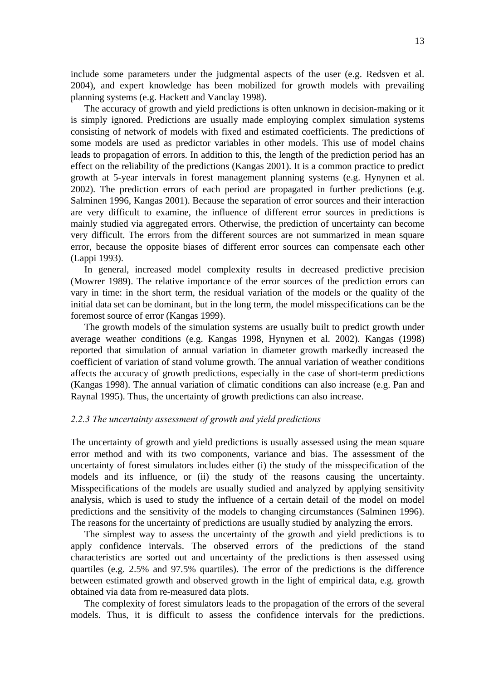include some parameters under the judgmental aspects of the user (e.g. Redsven et al. 2004), and expert knowledge has been mobilized for growth models with prevailing planning systems (e.g. Hackett and Vanclay 1998).

The accuracy of growth and yield predictions is often unknown in decision-making or it is simply ignored. Predictions are usually made employing complex simulation systems consisting of network of models with fixed and estimated coefficients. The predictions of some models are used as predictor variables in other models. This use of model chains leads to propagation of errors. In addition to this, the length of the prediction period has an effect on the reliability of the predictions (Kangas 2001). It is a common practice to predict growth at 5-year intervals in forest management planning systems (e.g. Hynynen et al. 2002). The prediction errors of each period are propagated in further predictions (e.g. Salminen 1996, Kangas 2001). Because the separation of error sources and their interaction are very difficult to examine, the influence of different error sources in predictions is mainly studied via aggregated errors. Otherwise, the prediction of uncertainty can become very difficult. The errors from the different sources are not summarized in mean square error, because the opposite biases of different error sources can compensate each other (Lappi 1993).

In general, increased model complexity results in decreased predictive precision (Mowrer 1989). The relative importance of the error sources of the prediction errors can vary in time: in the short term, the residual variation of the models or the quality of the initial data set can be dominant, but in the long term, the model misspecifications can be the foremost source of error (Kangas 1999).

The growth models of the simulation systems are usually built to predict growth under average weather conditions (e.g. Kangas 1998, Hynynen et al. 2002). Kangas (1998) reported that simulation of annual variation in diameter growth markedly increased the coefficient of variation of stand volume growth. The annual variation of weather conditions affects the accuracy of growth predictions, especially in the case of short-term predictions (Kangas 1998). The annual variation of climatic conditions can also increase (e.g. Pan and Raynal 1995). Thus, the uncertainty of growth predictions can also increase.

#### *2.2.3 The uncertainty assessment of growth and yield predictions*

The uncertainty of growth and yield predictions is usually assessed using the mean square error method and with its two components, variance and bias. The assessment of the uncertainty of forest simulators includes either (i) the study of the misspecification of the models and its influence, or (ii) the study of the reasons causing the uncertainty. Misspecifications of the models are usually studied and analyzed by applying sensitivity analysis, which is used to study the influence of a certain detail of the model on model predictions and the sensitivity of the models to changing circumstances (Salminen 1996). The reasons for the uncertainty of predictions are usually studied by analyzing the errors.

The simplest way to assess the uncertainty of the growth and yield predictions is to apply confidence intervals. The observed errors of the predictions of the stand characteristics are sorted out and uncertainty of the predictions is then assessed using quartiles (e.g. 2.5% and 97.5% quartiles). The error of the predictions is the difference between estimated growth and observed growth in the light of empirical data, e.g. growth obtained via data from re-measured data plots.

The complexity of forest simulators leads to the propagation of the errors of the several models. Thus, it is difficult to assess the confidence intervals for the predictions.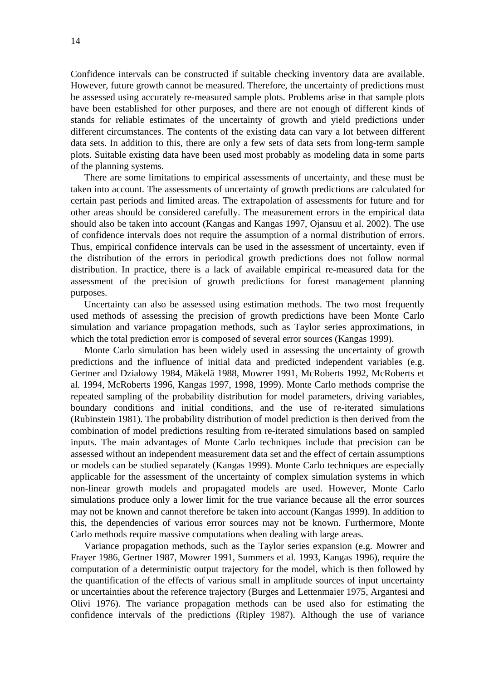Confidence intervals can be constructed if suitable checking inventory data are available. However, future growth cannot be measured. Therefore, the uncertainty of predictions must be assessed using accurately re-measured sample plots. Problems arise in that sample plots have been established for other purposes, and there are not enough of different kinds of stands for reliable estimates of the uncertainty of growth and yield predictions under different circumstances. The contents of the existing data can vary a lot between different data sets. In addition to this, there are only a few sets of data sets from long-term sample plots. Suitable existing data have been used most probably as modeling data in some parts of the planning systems.

There are some limitations to empirical assessments of uncertainty, and these must be taken into account. The assessments of uncertainty of growth predictions are calculated for certain past periods and limited areas. The extrapolation of assessments for future and for other areas should be considered carefully. The measurement errors in the empirical data should also be taken into account (Kangas and Kangas 1997, Ojansuu et al. 2002). The use of confidence intervals does not require the assumption of a normal distribution of errors. Thus, empirical confidence intervals can be used in the assessment of uncertainty, even if the distribution of the errors in periodical growth predictions does not follow normal distribution. In practice, there is a lack of available empirical re-measured data for the assessment of the precision of growth predictions for forest management planning purposes.

Uncertainty can also be assessed using estimation methods. The two most frequently used methods of assessing the precision of growth predictions have been Monte Carlo simulation and variance propagation methods, such as Taylor series approximations, in which the total prediction error is composed of several error sources (Kangas 1999).

Monte Carlo simulation has been widely used in assessing the uncertainty of growth predictions and the influence of initial data and predicted independent variables (e.g. Gertner and Dzialowy 1984, Mäkelä 1988, Mowrer 1991, McRoberts 1992, McRoberts et al. 1994, McRoberts 1996, Kangas 1997, 1998, 1999). Monte Carlo methods comprise the repeated sampling of the probability distribution for model parameters, driving variables, boundary conditions and initial conditions, and the use of re-iterated simulations (Rubinstein 1981). The probability distribution of model prediction is then derived from the combination of model predictions resulting from re-iterated simulations based on sampled inputs. The main advantages of Monte Carlo techniques include that precision can be assessed without an independent measurement data set and the effect of certain assumptions or models can be studied separately (Kangas 1999). Monte Carlo techniques are especially applicable for the assessment of the uncertainty of complex simulation systems in which non-linear growth models and propagated models are used. However, Monte Carlo simulations produce only a lower limit for the true variance because all the error sources may not be known and cannot therefore be taken into account (Kangas 1999). In addition to this, the dependencies of various error sources may not be known. Furthermore, Monte Carlo methods require massive computations when dealing with large areas.

Variance propagation methods, such as the Taylor series expansion (e.g. Mowrer and Frayer 1986, Gertner 1987, Mowrer 1991, Summers et al. 1993, Kangas 1996), require the computation of a deterministic output trajectory for the model, which is then followed by the quantification of the effects of various small in amplitude sources of input uncertainty or uncertainties about the reference trajectory (Burges and Lettenmaier 1975, Argantesi and Olivi 1976). The variance propagation methods can be used also for estimating the confidence intervals of the predictions (Ripley 1987). Although the use of variance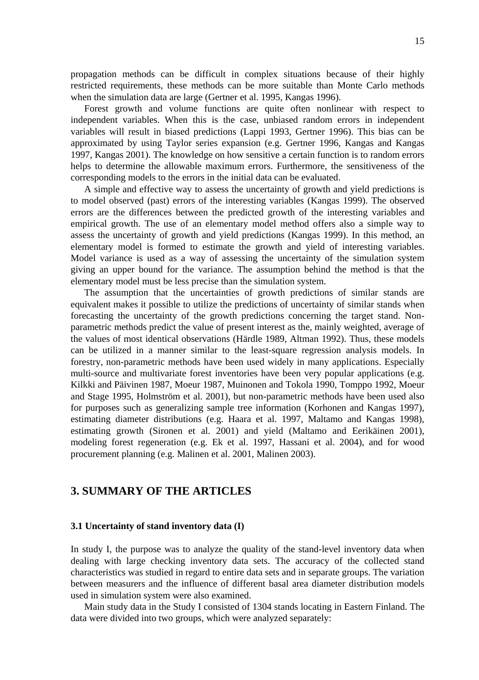propagation methods can be difficult in complex situations because of their highly restricted requirements, these methods can be more suitable than Monte Carlo methods when the simulation data are large (Gertner et al. 1995, Kangas 1996).

Forest growth and volume functions are quite often nonlinear with respect to independent variables. When this is the case, unbiased random errors in independent variables will result in biased predictions (Lappi 1993, Gertner 1996). This bias can be approximated by using Taylor series expansion (e.g. Gertner 1996, Kangas and Kangas 1997, Kangas 2001). The knowledge on how sensitive a certain function is to random errors helps to determine the allowable maximum errors. Furthermore, the sensitiveness of the corresponding models to the errors in the initial data can be evaluated.

A simple and effective way to assess the uncertainty of growth and yield predictions is to model observed (past) errors of the interesting variables (Kangas 1999). The observed errors are the differences between the predicted growth of the interesting variables and empirical growth. The use of an elementary model method offers also a simple way to assess the uncertainty of growth and yield predictions (Kangas 1999). In this method, an elementary model is formed to estimate the growth and yield of interesting variables. Model variance is used as a way of assessing the uncertainty of the simulation system giving an upper bound for the variance. The assumption behind the method is that the elementary model must be less precise than the simulation system.

The assumption that the uncertainties of growth predictions of similar stands are equivalent makes it possible to utilize the predictions of uncertainty of similar stands when forecasting the uncertainty of the growth predictions concerning the target stand. Nonparametric methods predict the value of present interest as the, mainly weighted, average of the values of most identical observations (Härdle 1989, Altman 1992). Thus, these models can be utilized in a manner similar to the least-square regression analysis models. In forestry, non-parametric methods have been used widely in many applications. Especially multi-source and multivariate forest inventories have been very popular applications (e.g. Kilkki and Päivinen 1987, Moeur 1987, Muinonen and Tokola 1990, Tomppo 1992, Moeur and Stage 1995, Holmström et al. 2001), but non-parametric methods have been used also for purposes such as generalizing sample tree information (Korhonen and Kangas 1997), estimating diameter distributions (e.g. Haara et al. 1997, Maltamo and Kangas 1998), estimating growth (Sironen et al. 2001) and yield (Maltamo and Eerikäinen 2001), modeling forest regeneration (e.g. Ek et al. 1997, Hassani et al. 2004), and for wood procurement planning (e.g. Malinen et al. 2001, Malinen 2003).

## **3. SUMMARY OF THE ARTICLES**

#### **3.1 Uncertainty of stand inventory data (I)**

In study I, the purpose was to analyze the quality of the stand-level inventory data when dealing with large checking inventory data sets. The accuracy of the collected stand characteristics was studied in regard to entire data sets and in separate groups. The variation between measurers and the influence of different basal area diameter distribution models used in simulation system were also examined.

Main study data in the Study I consisted of 1304 stands locating in Eastern Finland. The data were divided into two groups, which were analyzed separately: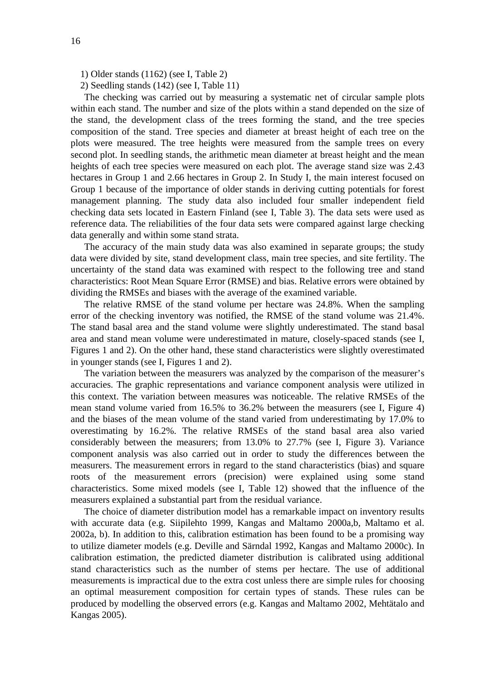1) Older stands (1162) (see I, Table 2)

2) Seedling stands (142) (see I, Table 11)

The checking was carried out by measuring a systematic net of circular sample plots within each stand. The number and size of the plots within a stand depended on the size of the stand, the development class of the trees forming the stand, and the tree species composition of the stand. Tree species and diameter at breast height of each tree on the plots were measured. The tree heights were measured from the sample trees on every second plot. In seedling stands, the arithmetic mean diameter at breast height and the mean heights of each tree species were measured on each plot. The average stand size was 2.43 hectares in Group 1 and 2.66 hectares in Group 2. In Study I, the main interest focused on Group 1 because of the importance of older stands in deriving cutting potentials for forest management planning. The study data also included four smaller independent field checking data sets located in Eastern Finland (see I, Table 3). The data sets were used as reference data. The reliabilities of the four data sets were compared against large checking data generally and within some stand strata.

The accuracy of the main study data was also examined in separate groups; the study data were divided by site, stand development class, main tree species, and site fertility. The uncertainty of the stand data was examined with respect to the following tree and stand characteristics: Root Mean Square Error (RMSE) and bias. Relative errors were obtained by dividing the RMSEs and biases with the average of the examined variable.

The relative RMSE of the stand volume per hectare was 24.8%. When the sampling error of the checking inventory was notified, the RMSE of the stand volume was 21.4%. The stand basal area and the stand volume were slightly underestimated. The stand basal area and stand mean volume were underestimated in mature, closely-spaced stands (see I, Figures 1 and 2). On the other hand, these stand characteristics were slightly overestimated in younger stands (see I, Figures 1 and 2).

The variation between the measurers was analyzed by the comparison of the measurer's accuracies. The graphic representations and variance component analysis were utilized in this context. The variation between measures was noticeable. The relative RMSEs of the mean stand volume varied from 16.5% to 36.2% between the measurers (see I, Figure 4) and the biases of the mean volume of the stand varied from underestimating by 17.0% to overestimating by 16.2%. The relative RMSEs of the stand basal area also varied considerably between the measurers; from 13.0% to 27.7% (see I, Figure 3). Variance component analysis was also carried out in order to study the differences between the measurers. The measurement errors in regard to the stand characteristics (bias) and square roots of the measurement errors (precision) were explained using some stand characteristics. Some mixed models (see I, Table 12) showed that the influence of the measurers explained a substantial part from the residual variance.

The choice of diameter distribution model has a remarkable impact on inventory results with accurate data (e.g. Siipilehto 1999, Kangas and Maltamo 2000a,b, Maltamo et al. 2002a, b). In addition to this, calibration estimation has been found to be a promising way to utilize diameter models (e.g. Deville and Särndal 1992, Kangas and Maltamo 2000c). In calibration estimation, the predicted diameter distribution is calibrated using additional stand characteristics such as the number of stems per hectare. The use of additional measurements is impractical due to the extra cost unless there are simple rules for choosing an optimal measurement composition for certain types of stands. These rules can be produced by modelling the observed errors (e.g. Kangas and Maltamo 2002, Mehtätalo and Kangas 2005).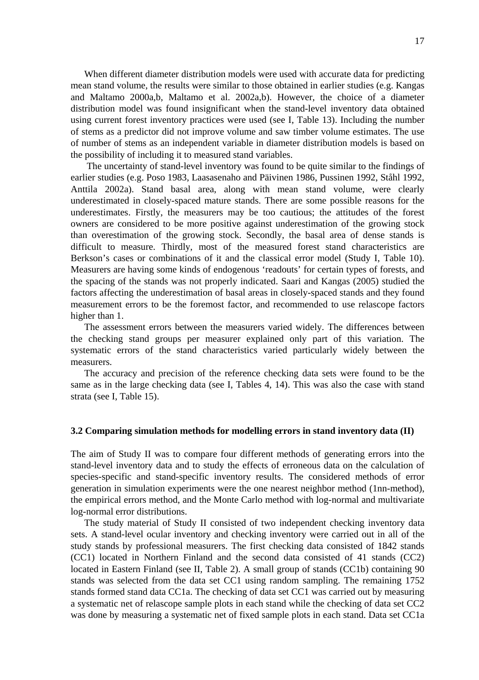When different diameter distribution models were used with accurate data for predicting mean stand volume, the results were similar to those obtained in earlier studies (e.g. Kangas and Maltamo 2000a,b, Maltamo et al. 2002a,b). However, the choice of a diameter distribution model was found insignificant when the stand-level inventory data obtained using current forest inventory practices were used (see I, Table 13). Including the number of stems as a predictor did not improve volume and saw timber volume estimates. The use of number of stems as an independent variable in diameter distribution models is based on the possibility of including it to measured stand variables.

The uncertainty of stand-level inventory was found to be quite similar to the findings of earlier studies (e.g. Poso 1983, Laasasenaho and Päivinen 1986, Pussinen 1992, Ståhl 1992, Anttila 2002a). Stand basal area, along with mean stand volume, were clearly underestimated in closely-spaced mature stands. There are some possible reasons for the underestimates. Firstly, the measurers may be too cautious; the attitudes of the forest owners are considered to be more positive against underestimation of the growing stock than overestimation of the growing stock. Secondly, the basal area of dense stands is difficult to measure. Thirdly, most of the measured forest stand characteristics are Berkson's cases or combinations of it and the classical error model (Study I, Table 10). Measurers are having some kinds of endogenous 'readouts' for certain types of forests, and the spacing of the stands was not properly indicated. Saari and Kangas (2005) studied the factors affecting the underestimation of basal areas in closely-spaced stands and they found measurement errors to be the foremost factor, and recommended to use relascope factors higher than 1.

The assessment errors between the measurers varied widely. The differences between the checking stand groups per measurer explained only part of this variation. The systematic errors of the stand characteristics varied particularly widely between the measurers.

The accuracy and precision of the reference checking data sets were found to be the same as in the large checking data (see I, Tables 4, 14). This was also the case with stand strata (see I, Table 15).

#### **3.2 Comparing simulation methods for modelling errors in stand inventory data (II)**

The aim of Study II was to compare four different methods of generating errors into the stand-level inventory data and to study the effects of erroneous data on the calculation of species-specific and stand-specific inventory results. The considered methods of error generation in simulation experiments were the one nearest neighbor method (1nn-method), the empirical errors method, and the Monte Carlo method with log-normal and multivariate log-normal error distributions.

The study material of Study II consisted of two independent checking inventory data sets. A stand-level ocular inventory and checking inventory were carried out in all of the study stands by professional measurers. The first checking data consisted of 1842 stands (CC1) located in Northern Finland and the second data consisted of 41 stands (CC2) located in Eastern Finland (see II, Table 2). A small group of stands (CC1b) containing 90 stands was selected from the data set CC1 using random sampling. The remaining 1752 stands formed stand data CC1a. The checking of data set CC1 was carried out by measuring a systematic net of relascope sample plots in each stand while the checking of data set CC2 was done by measuring a systematic net of fixed sample plots in each stand. Data set CC1a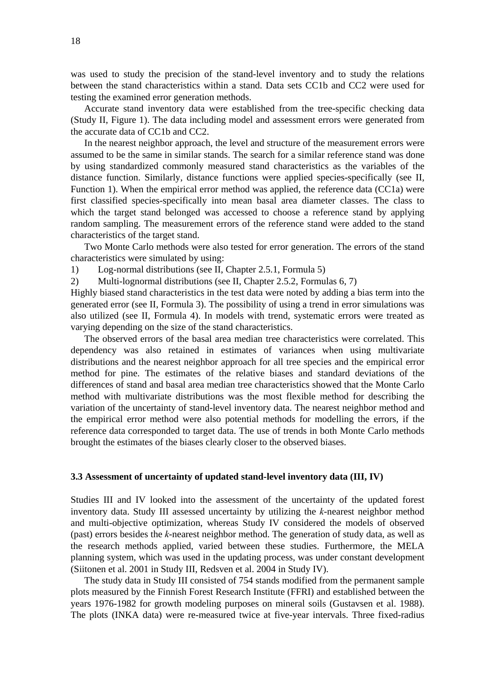was used to study the precision of the stand-level inventory and to study the relations between the stand characteristics within a stand. Data sets CC1b and CC2 were used for testing the examined error generation methods.

Accurate stand inventory data were established from the tree-specific checking data (Study II, Figure 1). The data including model and assessment errors were generated from the accurate data of CC1b and CC2.

In the nearest neighbor approach, the level and structure of the measurement errors were assumed to be the same in similar stands. The search for a similar reference stand was done by using standardized commonly measured stand characteristics as the variables of the distance function. Similarly, distance functions were applied species-specifically (see II, Function 1). When the empirical error method was applied, the reference data (CC1a) were first classified species-specifically into mean basal area diameter classes. The class to which the target stand belonged was accessed to choose a reference stand by applying random sampling. The measurement errors of the reference stand were added to the stand characteristics of the target stand.

Two Monte Carlo methods were also tested for error generation. The errors of the stand characteristics were simulated by using:

1) Log-normal distributions (see II, Chapter 2.5.1, Formula 5)

2) Multi-lognormal distributions (see II, Chapter 2.5.2, Formulas 6, 7)

Highly biased stand characteristics in the test data were noted by adding a bias term into the generated error (see II, Formula 3). The possibility of using a trend in error simulations was also utilized (see II, Formula 4). In models with trend, systematic errors were treated as varying depending on the size of the stand characteristics.

The observed errors of the basal area median tree characteristics were correlated. This dependency was also retained in estimates of variances when using multivariate distributions and the nearest neighbor approach for all tree species and the empirical error method for pine. The estimates of the relative biases and standard deviations of the differences of stand and basal area median tree characteristics showed that the Monte Carlo method with multivariate distributions was the most flexible method for describing the variation of the uncertainty of stand-level inventory data. The nearest neighbor method and the empirical error method were also potential methods for modelling the errors, if the reference data corresponded to target data. The use of trends in both Monte Carlo methods brought the estimates of the biases clearly closer to the observed biases.

#### **3.3 Assessment of uncertainty of updated stand-level inventory data (III, IV)**

Studies III and IV looked into the assessment of the uncertainty of the updated forest inventory data. Study III assessed uncertainty by utilizing the *k*-nearest neighbor method and multi-objective optimization, whereas Study IV considered the models of observed (past) errors besides the *k*-nearest neighbor method. The generation of study data, as well as the research methods applied, varied between these studies. Furthermore, the MELA planning system, which was used in the updating process, was under constant development (Siitonen et al. 2001 in Study III, Redsven et al. 2004 in Study IV).

The study data in Study III consisted of 754 stands modified from the permanent sample plots measured by the Finnish Forest Research Institute (FFRI) and established between the years 1976-1982 for growth modeling purposes on mineral soils (Gustavsen et al. 1988). The plots (INKA data) were re-measured twice at five-year intervals. Three fixed-radius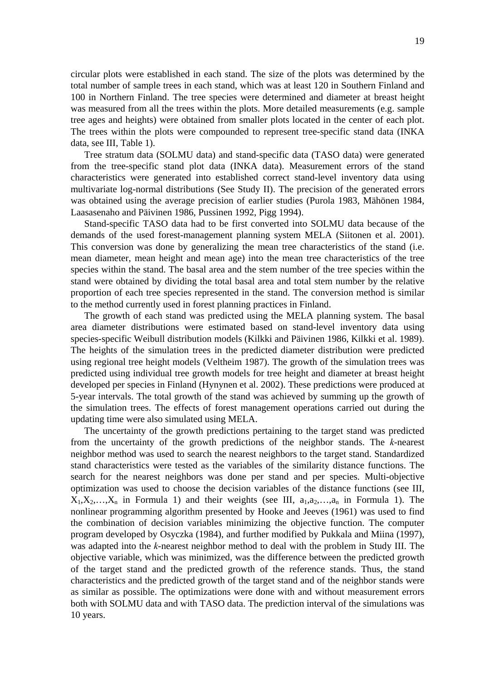circular plots were established in each stand. The size of the plots was determined by the total number of sample trees in each stand, which was at least 120 in Southern Finland and 100 in Northern Finland. The tree species were determined and diameter at breast height was measured from all the trees within the plots. More detailed measurements (e.g. sample tree ages and heights) were obtained from smaller plots located in the center of each plot. The trees within the plots were compounded to represent tree-specific stand data (INKA data, see III, Table 1).

Tree stratum data (SOLMU data) and stand-specific data (TASO data) were generated from the tree-specific stand plot data (INKA data). Measurement errors of the stand characteristics were generated into established correct stand-level inventory data using multivariate log-normal distributions (See Study II). The precision of the generated errors was obtained using the average precision of earlier studies (Purola 1983, Mähönen 1984, Laasasenaho and Päivinen 1986, Pussinen 1992, Pigg 1994).

Stand-specific TASO data had to be first converted into SOLMU data because of the demands of the used forest-management planning system MELA (Siitonen et al. 2001). This conversion was done by generalizing the mean tree characteristics of the stand (i.e. mean diameter, mean height and mean age) into the mean tree characteristics of the tree species within the stand. The basal area and the stem number of the tree species within the stand were obtained by dividing the total basal area and total stem number by the relative proportion of each tree species represented in the stand. The conversion method is similar to the method currently used in forest planning practices in Finland.

The growth of each stand was predicted using the MELA planning system. The basal area diameter distributions were estimated based on stand-level inventory data using species-specific Weibull distribution models (Kilkki and Päivinen 1986, Kilkki et al. 1989). The heights of the simulation trees in the predicted diameter distribution were predicted using regional tree height models (Veltheim 1987). The growth of the simulation trees was predicted using individual tree growth models for tree height and diameter at breast height developed per species in Finland (Hynynen et al. 2002). These predictions were produced at 5-year intervals. The total growth of the stand was achieved by summing up the growth of the simulation trees. The effects of forest management operations carried out during the updating time were also simulated using MELA.

The uncertainty of the growth predictions pertaining to the target stand was predicted from the uncertainty of the growth predictions of the neighbor stands. The *k*-nearest neighbor method was used to search the nearest neighbors to the target stand. Standardized stand characteristics were tested as the variables of the similarity distance functions. The search for the nearest neighbors was done per stand and per species. Multi-objective optimization was used to choose the decision variables of the distance functions (see III,  $X_1, X_2, \ldots, X_n$  in Formula 1) and their weights (see III,  $a_1, a_2, \ldots, a_n$  in Formula 1). The nonlinear programming algorithm presented by Hooke and Jeeves (1961) was used to find the combination of decision variables minimizing the objective function. The computer program developed by Osyczka (1984), and further modified by Pukkala and Miina (1997), was adapted into the *k*-nearest neighbor method to deal with the problem in Study III. The objective variable, which was minimized, was the difference between the predicted growth of the target stand and the predicted growth of the reference stands. Thus, the stand characteristics and the predicted growth of the target stand and of the neighbor stands were as similar as possible. The optimizations were done with and without measurement errors both with SOLMU data and with TASO data. The prediction interval of the simulations was 10 years.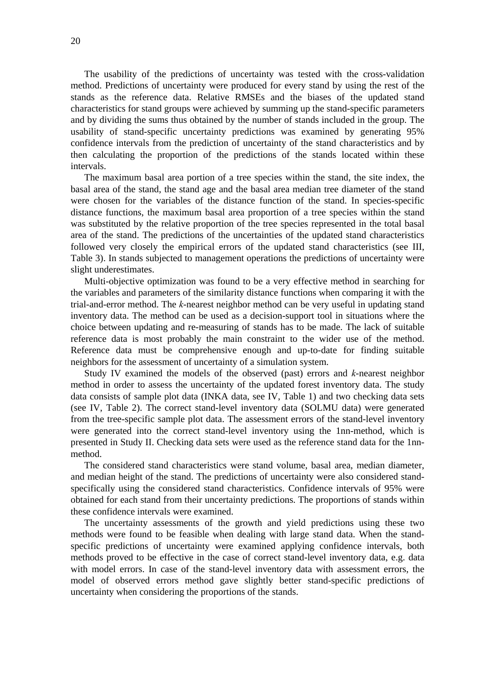The usability of the predictions of uncertainty was tested with the cross-validation method. Predictions of uncertainty were produced for every stand by using the rest of the stands as the reference data. Relative RMSEs and the biases of the updated stand characteristics for stand groups were achieved by summing up the stand-specific parameters and by dividing the sums thus obtained by the number of stands included in the group. The usability of stand-specific uncertainty predictions was examined by generating 95% confidence intervals from the prediction of uncertainty of the stand characteristics and by then calculating the proportion of the predictions of the stands located within these intervals.

The maximum basal area portion of a tree species within the stand, the site index, the basal area of the stand, the stand age and the basal area median tree diameter of the stand were chosen for the variables of the distance function of the stand. In species-specific distance functions, the maximum basal area proportion of a tree species within the stand was substituted by the relative proportion of the tree species represented in the total basal area of the stand. The predictions of the uncertainties of the updated stand characteristics followed very closely the empirical errors of the updated stand characteristics (see III, Table 3). In stands subjected to management operations the predictions of uncertainty were slight underestimates.

Multi-objective optimization was found to be a very effective method in searching for the variables and parameters of the similarity distance functions when comparing it with the trial-and-error method. The *k*-nearest neighbor method can be very useful in updating stand inventory data. The method can be used as a decision-support tool in situations where the choice between updating and re-measuring of stands has to be made. The lack of suitable reference data is most probably the main constraint to the wider use of the method. Reference data must be comprehensive enough and up-to-date for finding suitable neighbors for the assessment of uncertainty of a simulation system.

Study IV examined the models of the observed (past) errors and *k*-nearest neighbor method in order to assess the uncertainty of the updated forest inventory data. The study data consists of sample plot data (INKA data, see IV, Table 1) and two checking data sets (see IV, Table 2). The correct stand-level inventory data (SOLMU data) were generated from the tree-specific sample plot data. The assessment errors of the stand-level inventory were generated into the correct stand-level inventory using the 1nn-method, which is presented in Study II. Checking data sets were used as the reference stand data for the 1nnmethod.

The considered stand characteristics were stand volume, basal area, median diameter, and median height of the stand. The predictions of uncertainty were also considered standspecifically using the considered stand characteristics. Confidence intervals of 95% were obtained for each stand from their uncertainty predictions. The proportions of stands within these confidence intervals were examined.

The uncertainty assessments of the growth and yield predictions using these two methods were found to be feasible when dealing with large stand data. When the standspecific predictions of uncertainty were examined applying confidence intervals, both methods proved to be effective in the case of correct stand-level inventory data, e.g. data with model errors. In case of the stand-level inventory data with assessment errors, the model of observed errors method gave slightly better stand-specific predictions of uncertainty when considering the proportions of the stands.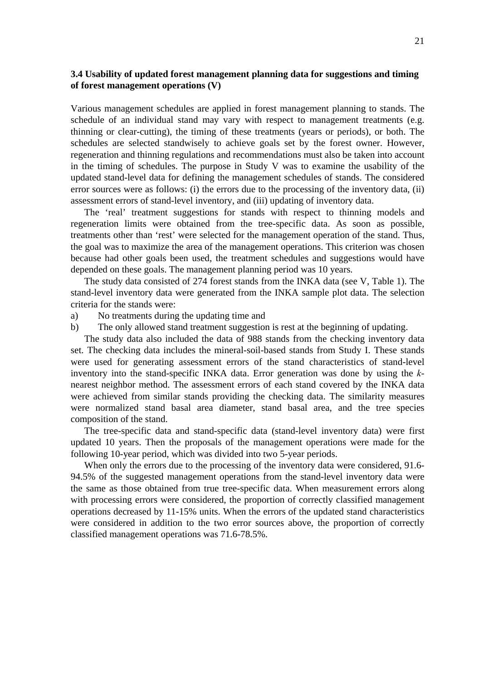### **3.4 Usability of updated forest management planning data for suggestions and timing of forest management operations (V)**

Various management schedules are applied in forest management planning to stands. The schedule of an individual stand may vary with respect to management treatments (e.g. thinning or clear-cutting), the timing of these treatments (years or periods), or both. The schedules are selected standwisely to achieve goals set by the forest owner. However, regeneration and thinning regulations and recommendations must also be taken into account in the timing of schedules. The purpose in Study V was to examine the usability of the updated stand-level data for defining the management schedules of stands. The considered error sources were as follows: (i) the errors due to the processing of the inventory data, (ii) assessment errors of stand-level inventory, and (iii) updating of inventory data.

The 'real' treatment suggestions for stands with respect to thinning models and regeneration limits were obtained from the tree-specific data. As soon as possible, treatments other than 'rest' were selected for the management operation of the stand. Thus, the goal was to maximize the area of the management operations. This criterion was chosen because had other goals been used, the treatment schedules and suggestions would have depended on these goals. The management planning period was 10 years.

The study data consisted of 274 forest stands from the INKA data (see V, Table 1). The stand-level inventory data were generated from the INKA sample plot data. The selection criteria for the stands were:

- a) No treatments during the updating time and
- b) The only allowed stand treatment suggestion is rest at the beginning of updating.

The study data also included the data of 988 stands from the checking inventory data set. The checking data includes the mineral-soil-based stands from Study I. These stands were used for generating assessment errors of the stand characteristics of stand-level inventory into the stand-specific INKA data. Error generation was done by using the *k*nearest neighbor method. The assessment errors of each stand covered by the INKA data were achieved from similar stands providing the checking data. The similarity measures were normalized stand basal area diameter, stand basal area, and the tree species composition of the stand.

The tree-specific data and stand-specific data (stand-level inventory data) were first updated 10 years. Then the proposals of the management operations were made for the following 10-year period, which was divided into two 5-year periods.

When only the errors due to the processing of the inventory data were considered, 91.6-94.5% of the suggested management operations from the stand-level inventory data were the same as those obtained from true tree-specific data. When measurement errors along with processing errors were considered, the proportion of correctly classified management operations decreased by 11-15% units. When the errors of the updated stand characteristics were considered in addition to the two error sources above, the proportion of correctly classified management operations was 71.6-78.5%.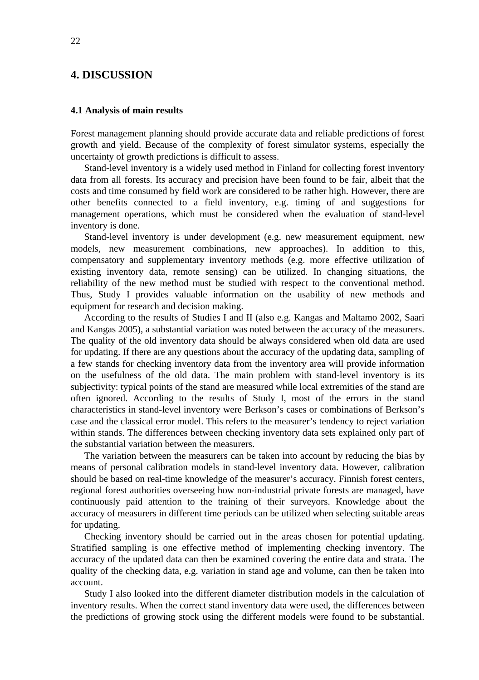## **4. DISCUSSION**

#### **4.1 Analysis of main results**

Forest management planning should provide accurate data and reliable predictions of forest growth and yield. Because of the complexity of forest simulator systems, especially the uncertainty of growth predictions is difficult to assess.

Stand-level inventory is a widely used method in Finland for collecting forest inventory data from all forests. Its accuracy and precision have been found to be fair, albeit that the costs and time consumed by field work are considered to be rather high. However, there are other benefits connected to a field inventory, e.g. timing of and suggestions for management operations, which must be considered when the evaluation of stand-level inventory is done.

Stand-level inventory is under development (e.g. new measurement equipment, new models, new measurement combinations, new approaches). In addition to this, compensatory and supplementary inventory methods (e.g. more effective utilization of existing inventory data, remote sensing) can be utilized. In changing situations, the reliability of the new method must be studied with respect to the conventional method. Thus, Study I provides valuable information on the usability of new methods and equipment for research and decision making.

According to the results of Studies I and II (also e.g. Kangas and Maltamo 2002, Saari and Kangas 2005), a substantial variation was noted between the accuracy of the measurers. The quality of the old inventory data should be always considered when old data are used for updating. If there are any questions about the accuracy of the updating data, sampling of a few stands for checking inventory data from the inventory area will provide information on the usefulness of the old data. The main problem with stand-level inventory is its subjectivity: typical points of the stand are measured while local extremities of the stand are often ignored. According to the results of Study I, most of the errors in the stand characteristics in stand-level inventory were Berkson's cases or combinations of Berkson's case and the classical error model. This refers to the measurer's tendency to reject variation within stands. The differences between checking inventory data sets explained only part of the substantial variation between the measurers.

The variation between the measurers can be taken into account by reducing the bias by means of personal calibration models in stand-level inventory data. However, calibration should be based on real-time knowledge of the measurer's accuracy. Finnish forest centers, regional forest authorities overseeing how non-industrial private forests are managed, have continuously paid attention to the training of their surveyors. Knowledge about the accuracy of measurers in different time periods can be utilized when selecting suitable areas for updating.

Checking inventory should be carried out in the areas chosen for potential updating. Stratified sampling is one effective method of implementing checking inventory. The accuracy of the updated data can then be examined covering the entire data and strata. The quality of the checking data, e.g. variation in stand age and volume, can then be taken into account.

Study I also looked into the different diameter distribution models in the calculation of inventory results. When the correct stand inventory data were used, the differences between the predictions of growing stock using the different models were found to be substantial.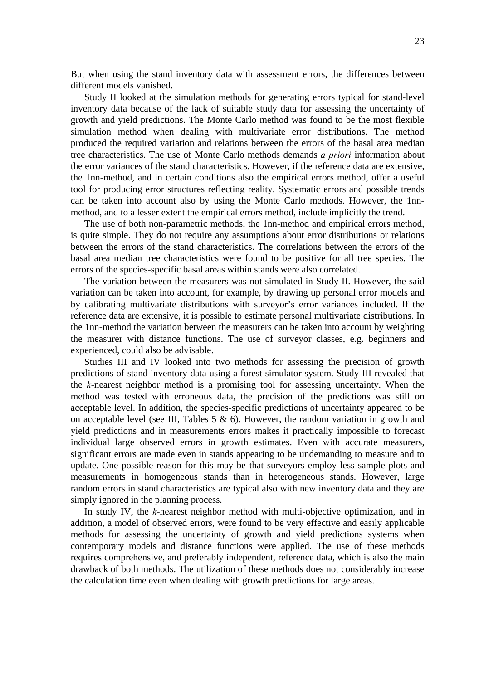But when using the stand inventory data with assessment errors, the differences between different models vanished.

Study II looked at the simulation methods for generating errors typical for stand-level inventory data because of the lack of suitable study data for assessing the uncertainty of growth and yield predictions. The Monte Carlo method was found to be the most flexible simulation method when dealing with multivariate error distributions. The method produced the required variation and relations between the errors of the basal area median tree characteristics. The use of Monte Carlo methods demands *a priori* information about the error variances of the stand characteristics. However, if the reference data are extensive, the 1nn-method, and in certain conditions also the empirical errors method, offer a useful tool for producing error structures reflecting reality. Systematic errors and possible trends can be taken into account also by using the Monte Carlo methods. However, the 1nnmethod, and to a lesser extent the empirical errors method, include implicitly the trend.

The use of both non-parametric methods, the 1nn-method and empirical errors method, is quite simple. They do not require any assumptions about error distributions or relations between the errors of the stand characteristics. The correlations between the errors of the basal area median tree characteristics were found to be positive for all tree species. The errors of the species-specific basal areas within stands were also correlated.

The variation between the measurers was not simulated in Study II. However, the said variation can be taken into account, for example, by drawing up personal error models and by calibrating multivariate distributions with surveyor's error variances included. If the reference data are extensive, it is possible to estimate personal multivariate distributions. In the 1nn-method the variation between the measurers can be taken into account by weighting the measurer with distance functions. The use of surveyor classes, e.g. beginners and experienced, could also be advisable.

Studies III and IV looked into two methods for assessing the precision of growth predictions of stand inventory data using a forest simulator system. Study III revealed that the *k*-nearest neighbor method is a promising tool for assessing uncertainty. When the method was tested with erroneous data, the precision of the predictions was still on acceptable level. In addition, the species-specific predictions of uncertainty appeared to be on acceptable level (see III, Tables 5 & 6). However, the random variation in growth and yield predictions and in measurements errors makes it practically impossible to forecast individual large observed errors in growth estimates. Even with accurate measurers, significant errors are made even in stands appearing to be undemanding to measure and to update. One possible reason for this may be that surveyors employ less sample plots and measurements in homogeneous stands than in heterogeneous stands. However, large random errors in stand characteristics are typical also with new inventory data and they are simply ignored in the planning process.

In study IV, the *k*-nearest neighbor method with multi-objective optimization, and in addition, a model of observed errors, were found to be very effective and easily applicable methods for assessing the uncertainty of growth and yield predictions systems when contemporary models and distance functions were applied. The use of these methods requires comprehensive, and preferably independent, reference data, which is also the main drawback of both methods. The utilization of these methods does not considerably increase the calculation time even when dealing with growth predictions for large areas.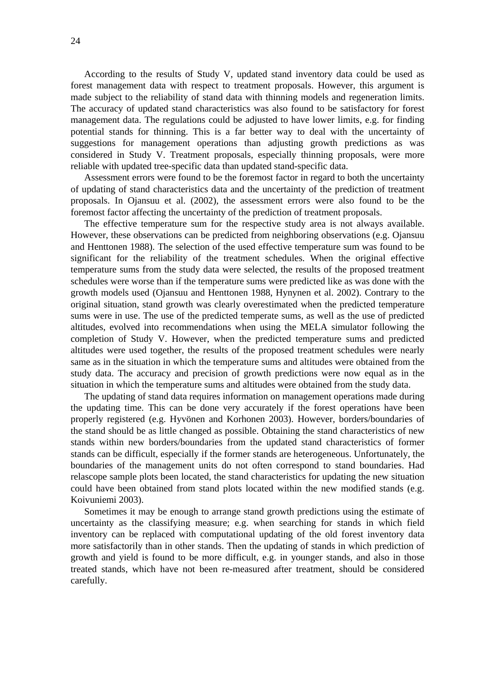According to the results of Study V, updated stand inventory data could be used as forest management data with respect to treatment proposals. However, this argument is made subject to the reliability of stand data with thinning models and regeneration limits. The accuracy of updated stand characteristics was also found to be satisfactory for forest management data. The regulations could be adjusted to have lower limits, e.g. for finding potential stands for thinning. This is a far better way to deal with the uncertainty of suggestions for management operations than adjusting growth predictions as was considered in Study V. Treatment proposals, especially thinning proposals, were more reliable with updated tree-specific data than updated stand-specific data.

Assessment errors were found to be the foremost factor in regard to both the uncertainty of updating of stand characteristics data and the uncertainty of the prediction of treatment proposals. In Ojansuu et al. (2002), the assessment errors were also found to be the foremost factor affecting the uncertainty of the prediction of treatment proposals.

The effective temperature sum for the respective study area is not always available. However, these observations can be predicted from neighboring observations (e.g. Ojansuu and Henttonen 1988). The selection of the used effective temperature sum was found to be significant for the reliability of the treatment schedules. When the original effective temperature sums from the study data were selected, the results of the proposed treatment schedules were worse than if the temperature sums were predicted like as was done with the growth models used (Ojansuu and Henttonen 1988, Hynynen et al. 2002). Contrary to the original situation, stand growth was clearly overestimated when the predicted temperature sums were in use. The use of the predicted temperate sums, as well as the use of predicted altitudes, evolved into recommendations when using the MELA simulator following the completion of Study V. However, when the predicted temperature sums and predicted altitudes were used together, the results of the proposed treatment schedules were nearly same as in the situation in which the temperature sums and altitudes were obtained from the study data. The accuracy and precision of growth predictions were now equal as in the situation in which the temperature sums and altitudes were obtained from the study data.

The updating of stand data requires information on management operations made during the updating time. This can be done very accurately if the forest operations have been properly registered (e.g. Hyvönen and Korhonen 2003). However, borders/boundaries of the stand should be as little changed as possible. Obtaining the stand characteristics of new stands within new borders/boundaries from the updated stand characteristics of former stands can be difficult, especially if the former stands are heterogeneous. Unfortunately, the boundaries of the management units do not often correspond to stand boundaries. Had relascope sample plots been located, the stand characteristics for updating the new situation could have been obtained from stand plots located within the new modified stands (e.g. Koivuniemi 2003).

Sometimes it may be enough to arrange stand growth predictions using the estimate of uncertainty as the classifying measure; e.g. when searching for stands in which field inventory can be replaced with computational updating of the old forest inventory data more satisfactorily than in other stands. Then the updating of stands in which prediction of growth and yield is found to be more difficult, e.g. in younger stands, and also in those treated stands, which have not been re-measured after treatment, should be considered carefully.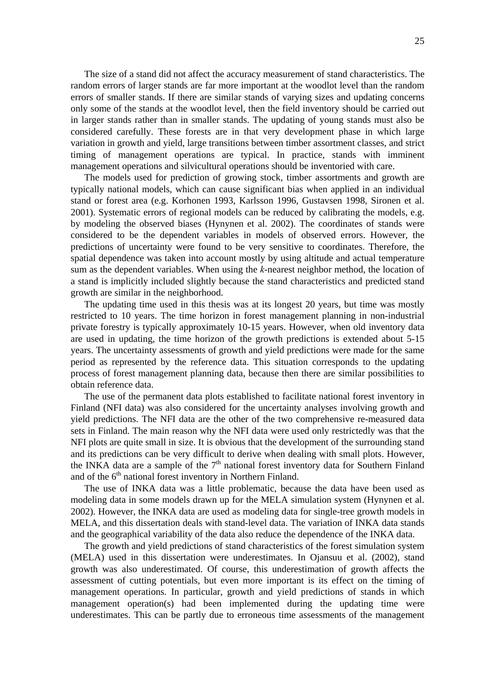The size of a stand did not affect the accuracy measurement of stand characteristics. The random errors of larger stands are far more important at the woodlot level than the random errors of smaller stands. If there are similar stands of varying sizes and updating concerns only some of the stands at the woodlot level, then the field inventory should be carried out in larger stands rather than in smaller stands. The updating of young stands must also be considered carefully. These forests are in that very development phase in which large variation in growth and yield, large transitions between timber assortment classes, and strict timing of management operations are typical. In practice, stands with imminent management operations and silvicultural operations should be inventoried with care.

The models used for prediction of growing stock, timber assortments and growth are typically national models, which can cause significant bias when applied in an individual stand or forest area (e.g. Korhonen 1993, Karlsson 1996, Gustavsen 1998, Sironen et al. 2001). Systematic errors of regional models can be reduced by calibrating the models, e.g. by modeling the observed biases (Hynynen et al. 2002). The coordinates of stands were considered to be the dependent variables in models of observed errors. However, the predictions of uncertainty were found to be very sensitive to coordinates. Therefore, the spatial dependence was taken into account mostly by using altitude and actual temperature sum as the dependent variables. When using the *k*-nearest neighbor method, the location of a stand is implicitly included slightly because the stand characteristics and predicted stand growth are similar in the neighborhood.

The updating time used in this thesis was at its longest 20 years, but time was mostly restricted to 10 years. The time horizon in forest management planning in non-industrial private forestry is typically approximately 10-15 years. However, when old inventory data are used in updating, the time horizon of the growth predictions is extended about 5-15 years. The uncertainty assessments of growth and yield predictions were made for the same period as represented by the reference data. This situation corresponds to the updating process of forest management planning data, because then there are similar possibilities to obtain reference data.

The use of the permanent data plots established to facilitate national forest inventory in Finland (NFI data) was also considered for the uncertainty analyses involving growth and yield predictions. The NFI data are the other of the two comprehensive re-measured data sets in Finland. The main reason why the NFI data were used only restrictedly was that the NFI plots are quite small in size. It is obvious that the development of the surrounding stand and its predictions can be very difficult to derive when dealing with small plots. However, the INKA data are a sample of the  $7<sup>th</sup>$  national forest inventory data for Southern Finland and of the  $6<sup>th</sup>$  national forest inventory in Northern Finland.

The use of INKA data was a little problematic, because the data have been used as modeling data in some models drawn up for the MELA simulation system (Hynynen et al. 2002). However, the INKA data are used as modeling data for single-tree growth models in MELA, and this dissertation deals with stand-level data. The variation of INKA data stands and the geographical variability of the data also reduce the dependence of the INKA data.

The growth and yield predictions of stand characteristics of the forest simulation system (MELA) used in this dissertation were underestimates. In Ojansuu et al. (2002), stand growth was also underestimated. Of course, this underestimation of growth affects the assessment of cutting potentials, but even more important is its effect on the timing of management operations. In particular, growth and yield predictions of stands in which management operation(s) had been implemented during the updating time were underestimates. This can be partly due to erroneous time assessments of the management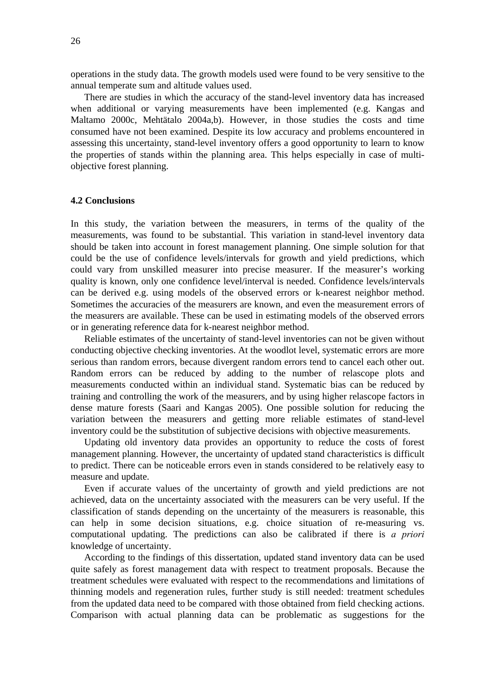operations in the study data. The growth models used were found to be very sensitive to the annual temperate sum and altitude values used.

There are studies in which the accuracy of the stand-level inventory data has increased when additional or varying measurements have been implemented (e.g. Kangas and Maltamo 2000c, Mehtätalo 2004a,b). However, in those studies the costs and time consumed have not been examined. Despite its low accuracy and problems encountered in assessing this uncertainty, stand-level inventory offers a good opportunity to learn to know the properties of stands within the planning area. This helps especially in case of multiobjective forest planning.

#### **4.2 Conclusions**

In this study, the variation between the measurers, in terms of the quality of the measurements, was found to be substantial. This variation in stand-level inventory data should be taken into account in forest management planning. One simple solution for that could be the use of confidence levels/intervals for growth and yield predictions, which could vary from unskilled measurer into precise measurer. If the measurer's working quality is known, only one confidence level/interval is needed. Confidence levels/intervals can be derived e.g. using models of the observed errors or k-nearest neighbor method. Sometimes the accuracies of the measurers are known, and even the measurement errors of the measurers are available. These can be used in estimating models of the observed errors or in generating reference data for k-nearest neighbor method.

Reliable estimates of the uncertainty of stand-level inventories can not be given without conducting objective checking inventories. At the woodlot level, systematic errors are more serious than random errors, because divergent random errors tend to cancel each other out. Random errors can be reduced by adding to the number of relascope plots and measurements conducted within an individual stand. Systematic bias can be reduced by training and controlling the work of the measurers, and by using higher relascope factors in dense mature forests (Saari and Kangas 2005). One possible solution for reducing the variation between the measurers and getting more reliable estimates of stand-level inventory could be the substitution of subjective decisions with objective measurements.

Updating old inventory data provides an opportunity to reduce the costs of forest management planning. However, the uncertainty of updated stand characteristics is difficult to predict. There can be noticeable errors even in stands considered to be relatively easy to measure and update.

Even if accurate values of the uncertainty of growth and yield predictions are not achieved, data on the uncertainty associated with the measurers can be very useful. If the classification of stands depending on the uncertainty of the measurers is reasonable, this can help in some decision situations, e.g. choice situation of re-measuring vs. computational updating. The predictions can also be calibrated if there is *a priori* knowledge of uncertainty.

According to the findings of this dissertation, updated stand inventory data can be used quite safely as forest management data with respect to treatment proposals. Because the treatment schedules were evaluated with respect to the recommendations and limitations of thinning models and regeneration rules, further study is still needed: treatment schedules from the updated data need to be compared with those obtained from field checking actions. Comparison with actual planning data can be problematic as suggestions for the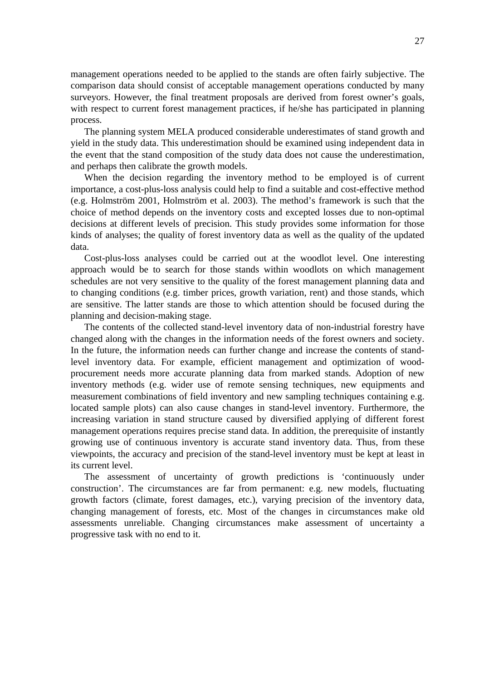management operations needed to be applied to the stands are often fairly subjective. The comparison data should consist of acceptable management operations conducted by many surveyors. However, the final treatment proposals are derived from forest owner's goals, with respect to current forest management practices, if he/she has participated in planning process.

The planning system MELA produced considerable underestimates of stand growth and yield in the study data. This underestimation should be examined using independent data in the event that the stand composition of the study data does not cause the underestimation, and perhaps then calibrate the growth models.

When the decision regarding the inventory method to be employed is of current importance, a cost-plus-loss analysis could help to find a suitable and cost-effective method (e.g. Holmström 2001, Holmström et al. 2003). The method's framework is such that the choice of method depends on the inventory costs and excepted losses due to non-optimal decisions at different levels of precision. This study provides some information for those kinds of analyses; the quality of forest inventory data as well as the quality of the updated data.

Cost-plus-loss analyses could be carried out at the woodlot level. One interesting approach would be to search for those stands within woodlots on which management schedules are not very sensitive to the quality of the forest management planning data and to changing conditions (e.g. timber prices, growth variation, rent) and those stands, which are sensitive. The latter stands are those to which attention should be focused during the planning and decision-making stage.

The contents of the collected stand-level inventory data of non-industrial forestry have changed along with the changes in the information needs of the forest owners and society. In the future, the information needs can further change and increase the contents of standlevel inventory data. For example, efficient management and optimization of woodprocurement needs more accurate planning data from marked stands. Adoption of new inventory methods (e.g. wider use of remote sensing techniques, new equipments and measurement combinations of field inventory and new sampling techniques containing e.g. located sample plots) can also cause changes in stand-level inventory. Furthermore, the increasing variation in stand structure caused by diversified applying of different forest management operations requires precise stand data. In addition, the prerequisite of instantly growing use of continuous inventory is accurate stand inventory data. Thus, from these viewpoints, the accuracy and precision of the stand-level inventory must be kept at least in its current level.

The assessment of uncertainty of growth predictions is 'continuously under construction'. The circumstances are far from permanent: e.g. new models, fluctuating growth factors (climate, forest damages, etc.), varying precision of the inventory data, changing management of forests, etc. Most of the changes in circumstances make old assessments unreliable. Changing circumstances make assessment of uncertainty a progressive task with no end to it.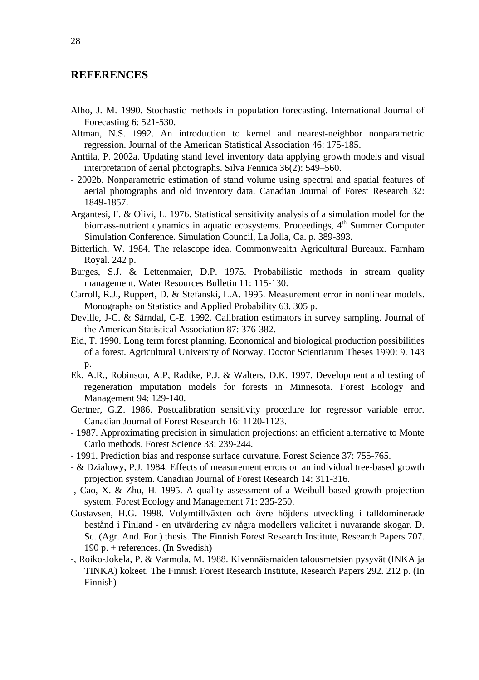## **REFERENCES**

- Alho, J. M. 1990. Stochastic methods in population forecasting. International Journal of Forecasting 6: 521-530.
- Altman, N.S. 1992. An introduction to kernel and nearest-neighbor nonparametric regression. Journal of the American Statistical Association 46: 175-185.
- Anttila, P. 2002a. Updating stand level inventory data applying growth models and visual interpretation of aerial photographs. Silva Fennica 36(2): 549–560.
- 2002b. Nonparametric estimation of stand volume using spectral and spatial features of aerial photographs and old inventory data. Canadian Journal of Forest Research 32: 1849-1857.
- Argantesi, F. & Olivi, L. 1976. Statistical sensitivity analysis of a simulation model for the biomass-nutrient dynamics in aquatic ecosystems. Proceedings, 4<sup>th</sup> Summer Computer Simulation Conference. Simulation Council, La Jolla, Ca. p. 389-393.
- Bitterlich, W. 1984. The relascope idea. Commonwealth Agricultural Bureaux. Farnham Royal. 242 p.
- Burges, S.J. & Lettenmaier, D.P. 1975. Probabilistic methods in stream quality management. Water Resources Bulletin 11: 115-130.
- Carroll, R.J., Ruppert, D. & Stefanski, L.A. 1995. Measurement error in nonlinear models. Monographs on Statistics and Applied Probability 63. 305 p.
- Deville, J-C. & Särndal, C-E. 1992. Calibration estimators in survey sampling. Journal of the American Statistical Association 87: 376-382.
- Eid, T. 1990. Long term forest planning. Economical and biological production possibilities of a forest. Agricultural University of Norway. Doctor Scientiarum Theses 1990: 9. 143 p.
- Ek, A.R., Robinson, A.P, Radtke, P.J. & Walters, D.K. 1997. Development and testing of regeneration imputation models for forests in Minnesota. Forest Ecology and Management 94: 129-140.
- Gertner, G.Z. 1986. Postcalibration sensitivity procedure for regressor variable error. Canadian Journal of Forest Research 16: 1120-1123.
- 1987. Approximating precision in simulation projections: an efficient alternative to Monte Carlo methods. Forest Science 33: 239-244.
- 1991. Prediction bias and response surface curvature. Forest Science 37: 755-765.
- & Dzialowy, P.J. 1984. Effects of measurement errors on an individual tree-based growth projection system. Canadian Journal of Forest Research 14: 311-316.
- -, Cao, X. & Zhu, H. 1995. A quality assessment of a Weibull based growth projection system. Forest Ecology and Management 71: 235-250.
- Gustavsen, H.G. 1998. Volymtillväxten och övre höjdens utveckling i talldominerade bestånd i Finland - en utvärdering av några modellers validitet i nuvarande skogar. D. Sc. (Agr. And. For.) thesis. The Finnish Forest Research Institute, Research Papers 707. 190 p. + references. (In Swedish)
- -, Roiko-Jokela, P. & Varmola, M. 1988. Kivennäismaiden talousmetsien pysyvät (INKA ja TINKA) kokeet. The Finnish Forest Research Institute, Research Papers 292. 212 p. (In Finnish)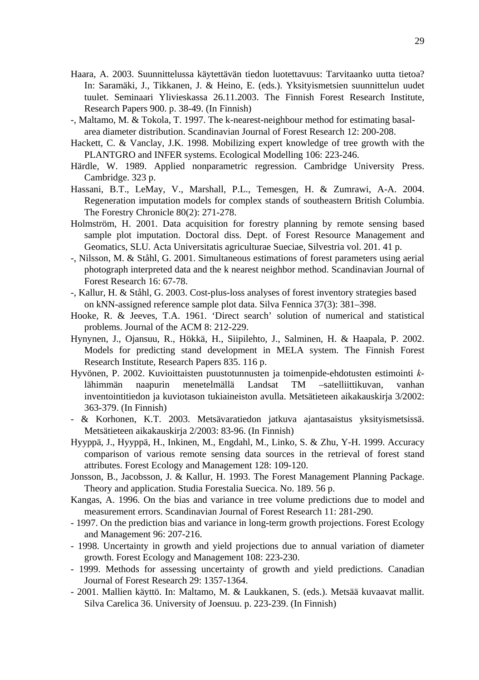- Haara, A. 2003. Suunnittelussa käytettävän tiedon luotettavuus: Tarvitaanko uutta tietoa? In: Saramäki, J., Tikkanen, J. & Heino, E. (eds.). Yksityismetsien suunnittelun uudet tuulet. Seminaari Ylivieskassa 26.11.2003. The Finnish Forest Research Institute, Research Papers 900. p. 38-49. (In Finnish)
- -, Maltamo, M. & Tokola, T. 1997. The k-nearest-neighbour method for estimating basalarea diameter distribution. Scandinavian Journal of Forest Research 12: 200-208.
- Hackett, C. & Vanclay, J.K. 1998. Mobilizing expert knowledge of tree growth with the PLANTGRO and INFER systems. Ecological Modelling 106: 223-246.
- Härdle, W. 1989. Applied nonparametric regression. Cambridge University Press. Cambridge. 323 p.
- Hassani, B.T., LeMay, V., Marshall, P.L., Temesgen, H. & Zumrawi, A-A. 2004. Regeneration imputation models for complex stands of southeastern British Columbia. The Forestry Chronicle 80(2): 271-278.
- Holmström, H. 2001. Data acquisition for forestry planning by remote sensing based sample plot imputation. Doctoral diss. Dept. of Forest Resource Management and Geomatics, SLU. Acta Universitatis agriculturae Sueciae, Silvestria vol. 201. 41 p.
- -, Nilsson, M. & Ståhl, G. 2001. Simultaneous estimations of forest parameters using aerial photograph interpreted data and the k nearest neighbor method. Scandinavian Journal of Forest Research 16: 67-78.
- -, Kallur, H. & Ståhl, G. 2003. Cost-plus-loss analyses of forest inventory strategies based on kNN-assigned reference sample plot data. Silva Fennica 37(3): 381–398.
- Hooke, R. & Jeeves, T.A. 1961. 'Direct search' solution of numerical and statistical problems. Journal of the ACM 8: 212-229.
- Hynynen, J., Ojansuu, R., Hökkä, H., Siipilehto, J., Salminen, H. & Haapala, P. 2002. Models for predicting stand development in MELA system. The Finnish Forest Research Institute, Research Papers 835. 116 p.
- Hyvönen, P. 2002. Kuvioittaisten puustotunnusten ja toimenpide-ehdotusten estimointi *k*lähimmän naapurin menetelmällä Landsat TM –satelliittikuvan, vanhan inventointitiedon ja kuviotason tukiaineiston avulla. Metsätieteen aikakauskirja 3/2002: 363-379. (In Finnish)
- & Korhonen, K.T. 2003. Metsävaratiedon jatkuva ajantasaistus yksityismetsissä. Metsätieteen aikakauskirja 2/2003: 83-96. (In Finnish)
- Hyyppä, J., Hyyppä, H., Inkinen, M., Engdahl, M., Linko, S. & Zhu, Y-H. 1999. Accuracy comparison of various remote sensing data sources in the retrieval of forest stand attributes. Forest Ecology and Management 128: 109-120.
- Jonsson, B., Jacobsson, J. & Kallur, H. 1993. The Forest Management Planning Package. Theory and application. Studia Forestalia Suecica. No. 189. 56 p.
- Kangas, A. 1996. On the bias and variance in tree volume predictions due to model and measurement errors. Scandinavian Journal of Forest Research 11: 281-290.
- 1997. On the prediction bias and variance in long-term growth projections. Forest Ecology and Management 96: 207-216.
- 1998. Uncertainty in growth and yield projections due to annual variation of diameter growth. Forest Ecology and Management 108: 223-230.
- 1999. Methods for assessing uncertainty of growth and yield predictions. Canadian Journal of Forest Research 29: 1357-1364.
- 2001. Mallien käyttö. In: Maltamo, M. & Laukkanen, S. (eds.). Metsää kuvaavat mallit. Silva Carelica 36. University of Joensuu. p. 223-239. (In Finnish)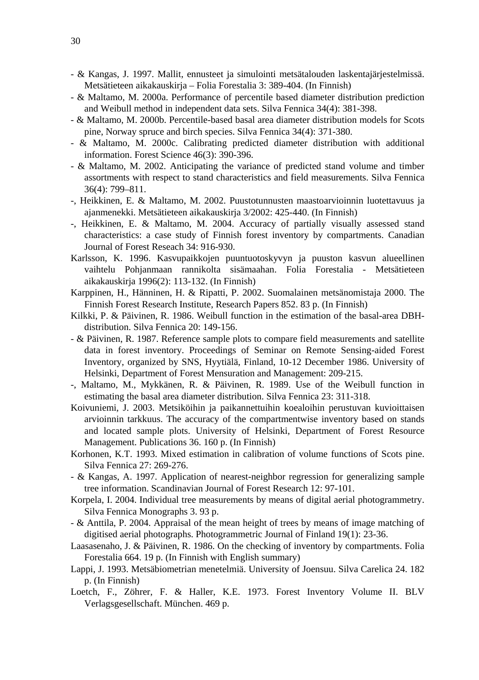- & Kangas, J. 1997. Mallit, ennusteet ja simulointi metsätalouden laskentajärjestelmissä. Metsätieteen aikakauskirja – Folia Forestalia 3: 389-404. (In Finnish)
- & Maltamo, M. 2000a. Performance of percentile based diameter distribution prediction and Weibull method in independent data sets. Silva Fennica 34(4): 381-398.
- & Maltamo, M. 2000b. Percentile-based basal area diameter distribution models for Scots pine, Norway spruce and birch species. Silva Fennica 34(4): 371-380.
- & Maltamo, M. 2000c. Calibrating predicted diameter distribution with additional information. Forest Science 46(3): 390-396.
- & Maltamo, M. 2002. Anticipating the variance of predicted stand volume and timber assortments with respect to stand characteristics and field measurements. Silva Fennica 36(4): 799–811.
- -, Heikkinen, E. & Maltamo, M. 2002. Puustotunnusten maastoarvioinnin luotettavuus ja ajanmenekki. Metsätieteen aikakauskirja 3/2002: 425-440. (In Finnish)
- -, Heikkinen, E. & Maltamo, M. 2004. Accuracy of partially visually assessed stand characteristics: a case study of Finnish forest inventory by compartments. Canadian Journal of Forest Reseach 34: 916-930.
- Karlsson, K. 1996. Kasvupaikkojen puuntuotoskyvyn ja puuston kasvun alueellinen vaihtelu Pohjanmaan rannikolta sisämaahan. Folia Forestalia - Metsätieteen aikakauskirja 1996(2): 113-132. (In Finnish)
- Karppinen, H., Hänninen, H. & Ripatti, P. 2002. Suomalainen metsänomistaja 2000. The Finnish Forest Research Institute, Research Papers 852. 83 p. (In Finnish)
- Kilkki, P. & Päivinen, R. 1986. Weibull function in the estimation of the basal-area DBHdistribution. Silva Fennica 20: 149-156.
- & Päivinen, R. 1987. Reference sample plots to compare field measurements and satellite data in forest inventory. Proceedings of Seminar on Remote Sensing-aided Forest Inventory, organized by SNS, Hyytiälä, Finland, 10-12 December 1986. University of Helsinki, Department of Forest Mensuration and Management: 209-215.
- -, Maltamo, M., Mykkänen, R. & Päivinen, R. 1989. Use of the Weibull function in estimating the basal area diameter distribution. Silva Fennica 23: 311-318.
- Koivuniemi, J. 2003. Metsiköihin ja paikannettuihin koealoihin perustuvan kuvioittaisen arvioinnin tarkkuus. The accuracy of the compartmentwise inventory based on stands and located sample plots. University of Helsinki, Department of Forest Resource Management. Publications 36. 160 p. (In Finnish)
- Korhonen, K.T. 1993. Mixed estimation in calibration of volume functions of Scots pine. Silva Fennica 27: 269-276.
- & Kangas, A. 1997. Application of nearest-neighbor regression for generalizing sample tree information. Scandinavian Journal of Forest Research 12: 97-101.
- Korpela, I. 2004. Individual tree measurements by means of digital aerial photogrammetry. Silva Fennica Monographs 3. 93 p.
- & Anttila, P. 2004. Appraisal of the mean height of trees by means of image matching of digitised aerial photographs. Photogrammetric Journal of Finland 19(1): 23-36.
- Laasasenaho, J. & Päivinen, R. 1986. On the checking of inventory by compartments. Folia Forestalia 664. 19 p. (In Finnish with English summary)
- Lappi, J. 1993. Metsäbiometrian menetelmiä. University of Joensuu. Silva Carelica 24. 182 p. (In Finnish)
- Loetch, F., Zöhrer, F. & Haller, K.E. 1973. Forest Inventory Volume II. BLV Verlagsgesellschaft. München. 469 p.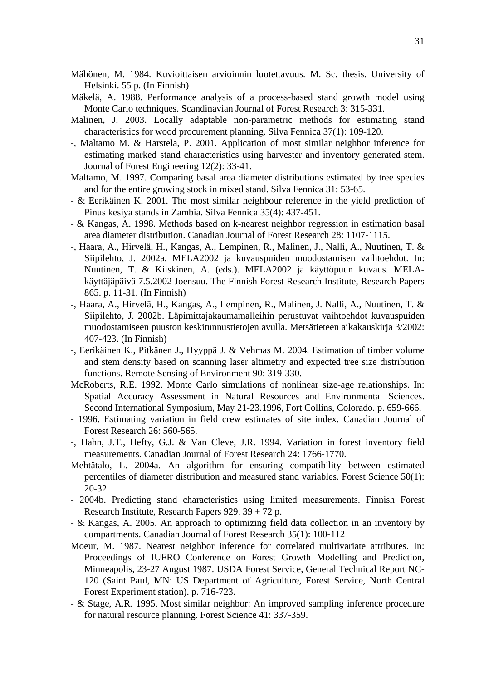Mähönen, M. 1984. Kuvioittaisen arvioinnin luotettavuus. M. Sc. thesis. University of Helsinki. 55 p. (In Finnish)

- Mäkelä, A. 1988. Performance analysis of a process-based stand growth model using Monte Carlo techniques. Scandinavian Journal of Forest Research 3: 315-331.
- Malinen, J. 2003. Locally adaptable non-parametric methods for estimating stand characteristics for wood procurement planning. Silva Fennica 37(1): 109-120.
- -, Maltamo M. & Harstela, P. 2001. Application of most similar neighbor inference for estimating marked stand characteristics using harvester and inventory generated stem. Journal of Forest Engineering 12(2): 33-41.
- Maltamo, M. 1997. Comparing basal area diameter distributions estimated by tree species and for the entire growing stock in mixed stand. Silva Fennica 31: 53-65.
- & Eerikäinen K. 2001. The most similar neighbour reference in the yield prediction of Pinus kesiya stands in Zambia. Silva Fennica 35(4): 437-451.
- & Kangas, A. 1998. Methods based on k-nearest neighbor regression in estimation basal area diameter distribution. Canadian Journal of Forest Research 28: 1107-1115.
- -, Haara, A., Hirvelä, H., Kangas, A., Lempinen, R., Malinen, J., Nalli, A., Nuutinen, T. & Siipilehto, J. 2002a. MELA2002 ja kuvauspuiden muodostamisen vaihtoehdot. In: Nuutinen, T. & Kiiskinen, A. (eds.). MELA2002 ja käyttöpuun kuvaus. MELAkäyttäjäpäivä 7.5.2002 Joensuu. The Finnish Forest Research Institute, Research Papers 865. p. 11-31. (In Finnish)
- -, Haara, A., Hirvelä, H., Kangas, A., Lempinen, R., Malinen, J. Nalli, A., Nuutinen, T. & Siipilehto, J. 2002b. Läpimittajakaumamalleihin perustuvat vaihtoehdot kuvauspuiden muodostamiseen puuston keskitunnustietojen avulla. Metsätieteen aikakauskirja 3/2002: 407-423. (In Finnish)
- -, Eerikäinen K., Pitkänen J., Hyyppä J. & Vehmas M. 2004. Estimation of timber volume and stem density based on scanning laser altimetry and expected tree size distribution functions. Remote Sensing of Environment 90: 319-330.
- McRoberts, R.E. 1992. Monte Carlo simulations of nonlinear size-age relationships. In: Spatial Accuracy Assessment in Natural Resources and Environmental Sciences. Second International Symposium, May 21-23.1996, Fort Collins, Colorado. p. 659-666.
- 1996. Estimating variation in field crew estimates of site index. Canadian Journal of Forest Research 26: 560-565.
- -, Hahn, J.T., Hefty, G.J. & Van Cleve, J.R. 1994. Variation in forest inventory field measurements. Canadian Journal of Forest Research 24: 1766-1770.
- Mehtätalo, L. 2004a. An algorithm for ensuring compatibility between estimated percentiles of diameter distribution and measured stand variables. Forest Science 50(1): 20-32.
- 2004b. Predicting stand characteristics using limited measurements. Finnish Forest Research Institute, Research Papers 929. 39 + 72 p.
- & Kangas, A. 2005. An approach to optimizing field data collection in an inventory by compartments. Canadian Journal of Forest Research 35(1): 100-112
- Moeur, M. 1987. Nearest neighbor inference for correlated multivariate attributes. In: Proceedings of IUFRO Conference on Forest Growth Modelling and Prediction, Minneapolis, 23-27 August 1987. USDA Forest Service, General Technical Report NC-120 (Saint Paul, MN: US Department of Agriculture, Forest Service, North Central Forest Experiment station). p. 716-723.
- & Stage, A.R. 1995. Most similar neighbor: An improved sampling inference procedure for natural resource planning. Forest Science 41: 337-359.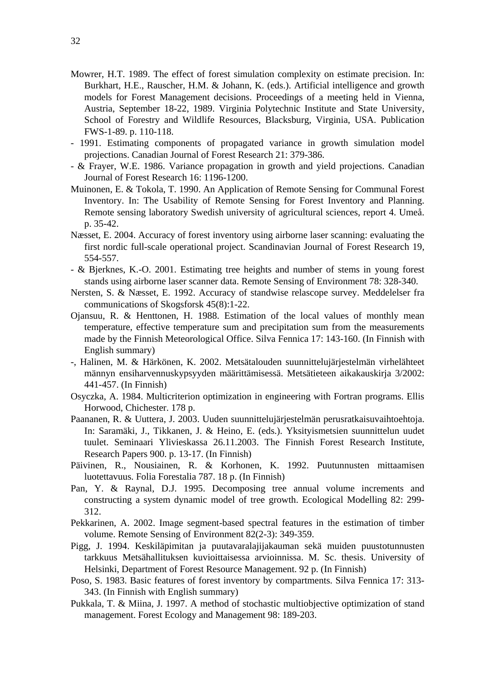- Mowrer, H.T. 1989. The effect of forest simulation complexity on estimate precision. In: Burkhart, H.E., Rauscher, H.M. & Johann, K. (eds.). Artificial intelligence and growth models for Forest Management decisions. Proceedings of a meeting held in Vienna, Austria, September 18-22, 1989. Virginia Polytechnic Institute and State University, School of Forestry and Wildlife Resources, Blacksburg, Virginia, USA. Publication FWS-1-89. p. 110-118.
- 1991. Estimating components of propagated variance in growth simulation model projections. Canadian Journal of Forest Research 21: 379-386.
- & Frayer, W.E. 1986. Variance propagation in growth and yield projections. Canadian Journal of Forest Research 16: 1196-1200.
- Muinonen, E. & Tokola, T. 1990. An Application of Remote Sensing for Communal Forest Inventory. In: The Usability of Remote Sensing for Forest Inventory and Planning. Remote sensing laboratory Swedish university of agricultural sciences, report 4. Umeå. p. 35-42.
- Næsset, E. 2004. Accuracy of forest inventory using airborne laser scanning: evaluating the first nordic full-scale operational project. Scandinavian Journal of Forest Research 19, 554-557.
- & Bjerknes, K.-O. 2001. Estimating tree heights and number of stems in young forest stands using airborne laser scanner data. Remote Sensing of Environment 78: 328-340.
- Nersten, S. & Næsset, E. 1992. Accuracy of standwise relascope survey. Meddelelser fra communications of Skogsforsk 45(8):1-22.
- Ojansuu, R. & Henttonen, H. 1988. Estimation of the local values of monthly mean temperature, effective temperature sum and precipitation sum from the measurements made by the Finnish Meteorological Office. Silva Fennica 17: 143-160. (In Finnish with English summary)
- -, Halinen, M. & Härkönen, K. 2002. Metsätalouden suunnittelujärjestelmän virhelähteet männyn ensiharvennuskypsyyden määrittämisessä. Metsätieteen aikakauskirja 3/2002: 441-457. (In Finnish)
- Osyczka, A. 1984. Multicriterion optimization in engineering with Fortran programs. Ellis Horwood, Chichester. 178 p.
- Paananen, R. & Uuttera, J. 2003. Uuden suunnittelujärjestelmän perusratkaisuvaihtoehtoja. In: Saramäki, J., Tikkanen, J. & Heino, E. (eds.). Yksityismetsien suunnittelun uudet tuulet. Seminaari Ylivieskassa 26.11.2003. The Finnish Forest Research Institute, Research Papers 900. p. 13-17. (In Finnish)
- Päivinen, R., Nousiainen, R. & Korhonen, K. 1992. Puutunnusten mittaamisen luotettavuus. Folia Forestalia 787. 18 p. (In Finnish)
- Pan, Y. & Raynal, D.J. 1995. Decomposing tree annual volume increments and constructing a system dynamic model of tree growth. Ecological Modelling 82: 299- 312.
- Pekkarinen, A. 2002. Image segment-based spectral features in the estimation of timber volume. Remote Sensing of Environment 82(2-3): 349-359.
- Pigg, J. 1994. Keskiläpimitan ja puutavaralajijakauman sekä muiden puustotunnusten tarkkuus Metsähallituksen kuvioittaisessa arvioinnissa. M. Sc. thesis. University of Helsinki, Department of Forest Resource Management. 92 p. (In Finnish)
- Poso, S. 1983. Basic features of forest inventory by compartments. Silva Fennica 17: 313- 343. (In Finnish with English summary)
- Pukkala, T. & Miina, J. 1997. A method of stochastic multiobjective optimization of stand management. Forest Ecology and Management 98: 189-203.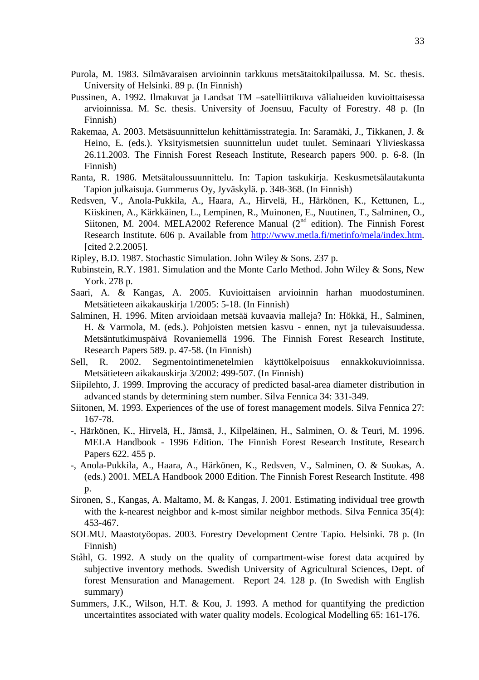- Purola, M. 1983. Silmävaraisen arvioinnin tarkkuus metsätaitokilpailussa. M. Sc. thesis. University of Helsinki. 89 p. (In Finnish)
- Pussinen, A. 1992. Ilmakuvat ja Landsat TM –satelliittikuva välialueiden kuvioittaisessa arvioinnissa. M. Sc. thesis. University of Joensuu, Faculty of Forestry. 48 p. (In Finnish)
- Rakemaa, A. 2003. Metsäsuunnittelun kehittämisstrategia. In: Saramäki, J., Tikkanen, J. & Heino, E. (eds.). Yksityismetsien suunnittelun uudet tuulet. Seminaari Ylivieskassa 26.11.2003. The Finnish Forest Reseach Institute, Research papers 900. p. 6-8. (In Finnish)
- Ranta, R. 1986. Metsätaloussuunnittelu. In: Tapion taskukirja. Keskusmetsälautakunta Tapion julkaisuja. Gummerus Oy, Jyväskylä. p. 348-368. (In Finnish)
- Redsven, V., Anola-Pukkila, A., Haara, A., Hirvelä, H., Härkönen, K., Kettunen, L., Kiiskinen, A., Kärkkäinen, L., Lempinen, R., Muinonen, E., Nuutinen, T., Salminen, O., Siitonen, M. 2004. MELA2002 Reference Manual  $(2<sup>nd</sup>$  edition). The Finnish Forest Research Institute. 606 p. Available from http://www.metla.fi/metinfo/mela/index.htm. [cited 2.2.2005].
- Ripley, B.D. 1987. Stochastic Simulation. John Wiley & Sons. 237 p.
- Rubinstein, R.Y. 1981. Simulation and the Monte Carlo Method. John Wiley & Sons, New York. 278 p.
- Saari, A. & Kangas, A. 2005. Kuvioittaisen arvioinnin harhan muodostuminen. Metsätieteen aikakauskirja 1/2005: 5-18. (In Finnish)
- Salminen, H. 1996. Miten arvioidaan metsää kuvaavia malleja? In: Hökkä, H., Salminen, H. & Varmola, M. (eds.). Pohjoisten metsien kasvu - ennen, nyt ja tulevaisuudessa. Metsäntutkimuspäivä Rovaniemellä 1996. The Finnish Forest Research Institute, Research Papers 589. p. 47-58. (In Finnish)
- Sell, R. 2002. Segmentointimenetelmien käyttökelpoisuus ennakkokuvioinnissa. Metsätieteen aikakauskirja 3/2002: 499-507. (In Finnish)
- Siipilehto, J. 1999. Improving the accuracy of predicted basal-area diameter distribution in advanced stands by determining stem number. Silva Fennica 34: 331-349.
- Siitonen, M. 1993. Experiences of the use of forest management models. Silva Fennica 27: 167-78.
- -, Härkönen, K., Hirvelä, H., Jämsä, J., Kilpeläinen, H., Salminen, O. & Teuri, M. 1996. MELA Handbook - 1996 Edition. The Finnish Forest Research Institute, Research Papers 622. 455 p.
- -, Anola-Pukkila, A., Haara, A., Härkönen, K., Redsven, V., Salminen, O. & Suokas, A. (eds.) 2001. MELA Handbook 2000 Edition. The Finnish Forest Research Institute. 498 p.
- Sironen, S., Kangas, A. Maltamo, M. & Kangas, J. 2001. Estimating individual tree growth with the k-nearest neighbor and k-most similar neighbor methods. Silva Fennica 35(4): 453-467.
- SOLMU. Maastotyöopas. 2003. Forestry Development Centre Tapio. Helsinki. 78 p. (In Finnish)
- Ståhl, G. 1992. A study on the quality of compartment-wise forest data acquired by subjective inventory methods. Swedish University of Agricultural Sciences, Dept. of forest Mensuration and Management. Report 24. 128 p. (In Swedish with English summary)
- Summers, J.K., Wilson, H.T. & Kou, J. 1993. A method for quantifying the prediction uncertaintites associated with water quality models. Ecological Modelling 65: 161-176.